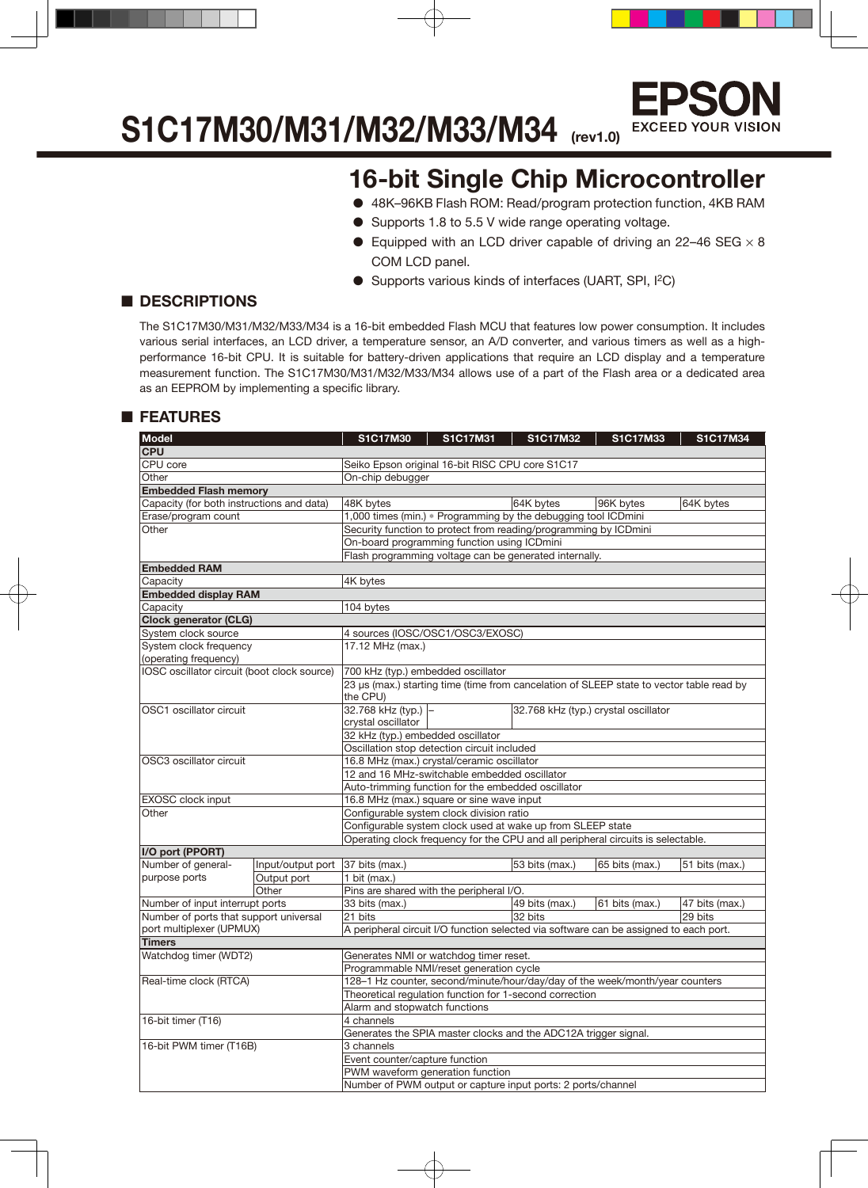

### **S1C17M30/M31/M32/M33/M34 (rev1.0)**

### **16-bit Single Chip Microcontroller**

- 48K–96KB Flash ROM: Read/program protection function, 4KB RAM
- Supports 1.8 to 5.5 V wide range operating voltage.
- Equipped with an LCD driver capable of driving an 22–46 SEG  $\times$  8 COM LCD panel.
- Supports various kinds of interfaces (UART, SPI, I<sup>2</sup>C)

#### ■ **DESCRIPTIONS**

The S1C17M30/M31/M32/M33/M34 is a 16-bit embedded Flash MCU that features low power consumption. It includes various serial interfaces, an LCD driver, a temperature sensor, an A/D converter, and various timers as well as a highperformance 16-bit CPU. It is suitable for battery-driven applications that require an LCD display and a temperature measurement function. The S1C17M30/M31/M32/M33/M34 allows use of a part of the Flash area or a dedicated area as an EEPROM by implementing a specific library.

#### ■ **FEATURES**

| <b>Model</b>                                |                   | <b>S1C17M30</b>                                                                       | S1C17M31 | <b>S1C17M32</b> | <b>S1C17M33</b>                                                                          | S1C17M34       |  |  |  |  |  |
|---------------------------------------------|-------------------|---------------------------------------------------------------------------------------|----------|-----------------|------------------------------------------------------------------------------------------|----------------|--|--|--|--|--|
| <b>CPU</b>                                  |                   |                                                                                       |          |                 |                                                                                          |                |  |  |  |  |  |
| CPU core                                    |                   |                                                                                       |          |                 |                                                                                          |                |  |  |  |  |  |
| Other                                       |                   | Seiko Epson original 16-bit RISC CPU core S1C17<br>On-chip debugger                   |          |                 |                                                                                          |                |  |  |  |  |  |
| <b>Embedded Flash memory</b>                |                   |                                                                                       |          |                 |                                                                                          |                |  |  |  |  |  |
| Capacity (for both instructions and data)   |                   | 48K bytes                                                                             |          | 64K bytes       | 96K bytes                                                                                | 64K bytes      |  |  |  |  |  |
| Erase/program count                         |                   | 1,000 times (min.) * Programming by the debugging tool ICDmini                        |          |                 |                                                                                          |                |  |  |  |  |  |
| Other                                       |                   | Security function to protect from reading/programming by ICDmini                      |          |                 |                                                                                          |                |  |  |  |  |  |
|                                             |                   | On-board programming function using ICDmini                                           |          |                 |                                                                                          |                |  |  |  |  |  |
|                                             |                   | Flash programming voltage can be generated internally.                                |          |                 |                                                                                          |                |  |  |  |  |  |
| <b>Embedded RAM</b>                         |                   |                                                                                       |          |                 |                                                                                          |                |  |  |  |  |  |
| Capacity                                    |                   | 4K bytes                                                                              |          |                 |                                                                                          |                |  |  |  |  |  |
| <b>Embedded display RAM</b>                 |                   |                                                                                       |          |                 |                                                                                          |                |  |  |  |  |  |
| Capacity                                    |                   | 104 bytes                                                                             |          |                 |                                                                                          |                |  |  |  |  |  |
| <b>Clock generator (CLG)</b>                |                   |                                                                                       |          |                 |                                                                                          |                |  |  |  |  |  |
| System clock source                         |                   | 4 sources (IOSC/OSC1/OSC3/EXOSC)                                                      |          |                 |                                                                                          |                |  |  |  |  |  |
| System clock frequency                      |                   | 17.12 MHz (max.)                                                                      |          |                 |                                                                                          |                |  |  |  |  |  |
| (operating frequency)                       |                   |                                                                                       |          |                 |                                                                                          |                |  |  |  |  |  |
| IOSC oscillator circuit (boot clock source) |                   | 700 kHz (typ.) embedded oscillator                                                    |          |                 |                                                                                          |                |  |  |  |  |  |
|                                             |                   |                                                                                       |          |                 | 23 µs (max.) starting time (time from cancelation of SLEEP state to vector table read by |                |  |  |  |  |  |
|                                             |                   | the CPU)                                                                              |          |                 |                                                                                          |                |  |  |  |  |  |
| OSC1 oscillator circuit                     |                   | 32.768 kHz (typ.)                                                                     |          |                 | 32.768 kHz (typ.) crystal oscillator                                                     |                |  |  |  |  |  |
|                                             |                   | crystal oscillator                                                                    |          |                 |                                                                                          |                |  |  |  |  |  |
|                                             |                   | 32 kHz (typ.) embedded oscillator                                                     |          |                 |                                                                                          |                |  |  |  |  |  |
|                                             |                   | Oscillation stop detection circuit included                                           |          |                 |                                                                                          |                |  |  |  |  |  |
| OSC3 oscillator circuit                     |                   | 16.8 MHz (max.) crystal/ceramic oscillator                                            |          |                 |                                                                                          |                |  |  |  |  |  |
|                                             |                   | 12 and 16 MHz-switchable embedded oscillator                                          |          |                 |                                                                                          |                |  |  |  |  |  |
|                                             |                   | Auto-trimming function for the embedded oscillator                                    |          |                 |                                                                                          |                |  |  |  |  |  |
| <b>EXOSC</b> clock input                    |                   | 16.8 MHz (max.) square or sine wave input                                             |          |                 |                                                                                          |                |  |  |  |  |  |
| Other                                       |                   | Configurable system clock division ratio                                              |          |                 |                                                                                          |                |  |  |  |  |  |
|                                             |                   | Configurable system clock used at wake up from SLEEP state                            |          |                 |                                                                                          |                |  |  |  |  |  |
|                                             |                   |                                                                                       |          |                 | Operating clock frequency for the CPU and all peripheral circuits is selectable.         |                |  |  |  |  |  |
| I/O port (PPORT)                            |                   |                                                                                       |          |                 |                                                                                          |                |  |  |  |  |  |
| Number of general-                          | Input/output port | 37 bits (max.)                                                                        |          | 53 bits (max.)  | 65 bits (max.)                                                                           | 51 bits (max.) |  |  |  |  |  |
| purpose ports                               | Output port       | 1 bit (max.)                                                                          |          |                 |                                                                                          |                |  |  |  |  |  |
|                                             | Other             | Pins are shared with the peripheral I/O.                                              |          |                 |                                                                                          |                |  |  |  |  |  |
| Number of input interrupt ports             |                   | 33 bits (max.)                                                                        |          | 49 bits (max.)  | 61 bits (max.)                                                                           | 47 bits (max.) |  |  |  |  |  |
| Number of ports that support universal      |                   | 21 bits                                                                               |          | 32 bits         |                                                                                          | 29 bits        |  |  |  |  |  |
| port multiplexer (UPMUX)                    |                   | A peripheral circuit I/O function selected via software can be assigned to each port. |          |                 |                                                                                          |                |  |  |  |  |  |
| <b>Timers</b>                               |                   |                                                                                       |          |                 |                                                                                          |                |  |  |  |  |  |
| Watchdog timer (WDT2)                       |                   | Generates NMI or watchdog timer reset.                                                |          |                 |                                                                                          |                |  |  |  |  |  |
|                                             |                   | Programmable NMI/reset generation cycle                                               |          |                 |                                                                                          |                |  |  |  |  |  |
| Real-time clock (RTCA)                      |                   |                                                                                       |          |                 | 128-1 Hz counter, second/minute/hour/day/day of the week/month/year counters             |                |  |  |  |  |  |
|                                             |                   | Theoretical regulation function for 1-second correction                               |          |                 |                                                                                          |                |  |  |  |  |  |
|                                             |                   | Alarm and stopwatch functions                                                         |          |                 |                                                                                          |                |  |  |  |  |  |
| 16-bit timer (T16)                          |                   | 4 channels                                                                            |          |                 |                                                                                          |                |  |  |  |  |  |
|                                             |                   | Generates the SPIA master clocks and the ADC12A trigger signal.                       |          |                 |                                                                                          |                |  |  |  |  |  |
| 16-bit PWM timer (T16B)                     |                   | 3 channels                                                                            |          |                 |                                                                                          |                |  |  |  |  |  |
|                                             |                   | Event counter/capture function                                                        |          |                 |                                                                                          |                |  |  |  |  |  |
|                                             |                   | PWM waveform generation function                                                      |          |                 |                                                                                          |                |  |  |  |  |  |
|                                             |                   | Number of PWM output or capture input ports: 2 ports/channel                          |          |                 |                                                                                          |                |  |  |  |  |  |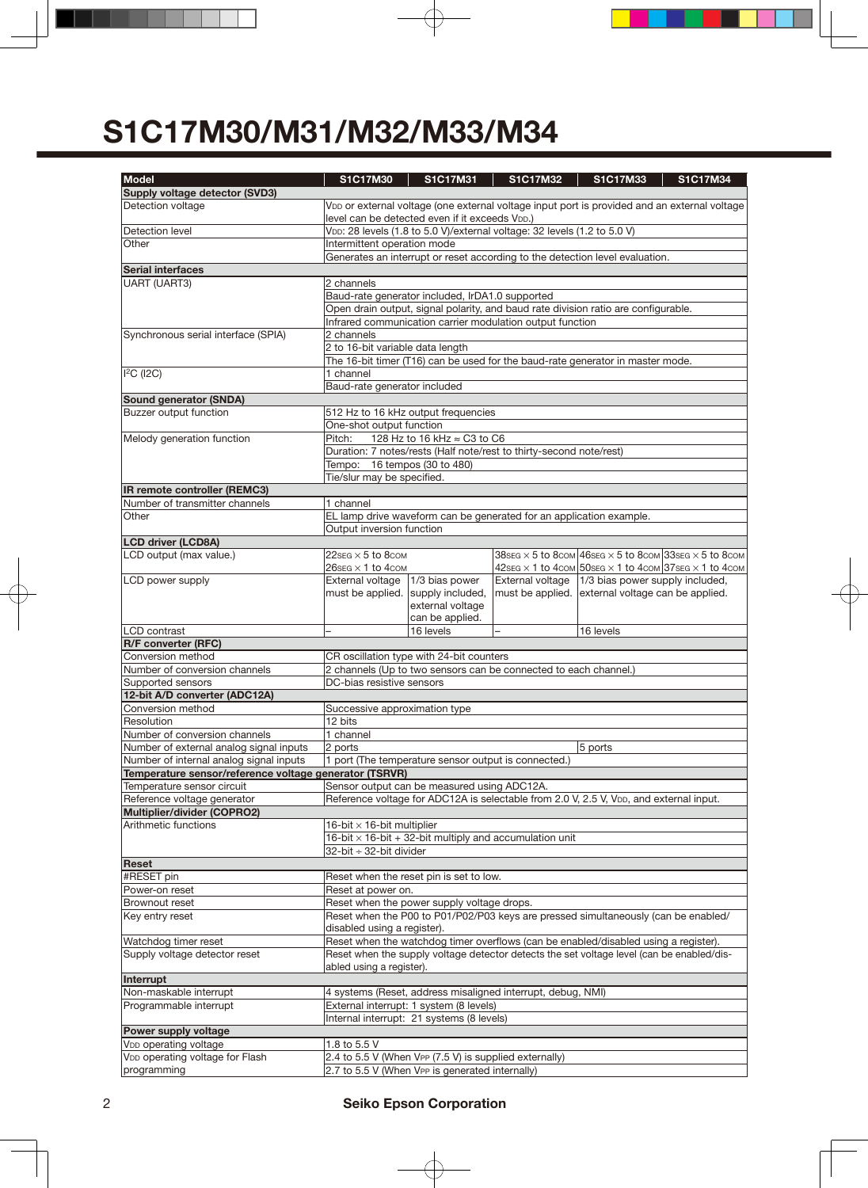| <b>Model</b>                                                   | S1C17M30                                                                                                                                                    | S1C17M31                                                                 | S1C17M32         | S1C17M33                                                                                     | S1C17M34 |  |  |  |  |
|----------------------------------------------------------------|-------------------------------------------------------------------------------------------------------------------------------------------------------------|--------------------------------------------------------------------------|------------------|----------------------------------------------------------------------------------------------|----------|--|--|--|--|
| Supply voltage detector (SVD3)                                 |                                                                                                                                                             |                                                                          |                  |                                                                                              |          |  |  |  |  |
| Detection voltage                                              | VDD or external voltage (one external voltage input port is provided and an external voltage<br>level can be detected even if it exceeds V <sub>DD</sub> .) |                                                                          |                  |                                                                                              |          |  |  |  |  |
| Detection level<br>Other                                       | Intermittent operation mode                                                                                                                                 | VDD: 28 levels (1.8 to 5.0 V)/external voltage: 32 levels (1.2 to 5.0 V) |                  |                                                                                              |          |  |  |  |  |
|                                                                |                                                                                                                                                             |                                                                          |                  | Generates an interrupt or reset according to the detection level evaluation.                 |          |  |  |  |  |
| <b>Serial interfaces</b>                                       |                                                                                                                                                             |                                                                          |                  |                                                                                              |          |  |  |  |  |
| UART (UART3)                                                   | 2 channels                                                                                                                                                  |                                                                          |                  |                                                                                              |          |  |  |  |  |
|                                                                |                                                                                                                                                             | Baud-rate generator included, IrDA1.0 supported                          |                  |                                                                                              |          |  |  |  |  |
|                                                                |                                                                                                                                                             |                                                                          |                  | Open drain output, signal polarity, and baud rate division ratio are configurable.           |          |  |  |  |  |
| Infrared communication carrier modulation output function      |                                                                                                                                                             |                                                                          |                  |                                                                                              |          |  |  |  |  |
| Synchronous serial interface (SPIA)                            | 2 channels                                                                                                                                                  |                                                                          |                  |                                                                                              |          |  |  |  |  |
|                                                                | 2 to 16-bit variable data length                                                                                                                            |                                                                          |                  |                                                                                              |          |  |  |  |  |
|                                                                |                                                                                                                                                             |                                                                          |                  | The 16-bit timer (T16) can be used for the baud-rate generator in master mode.               |          |  |  |  |  |
| <sup>2</sup> C (12C)                                           | 1 channel                                                                                                                                                   |                                                                          |                  |                                                                                              |          |  |  |  |  |
|                                                                | Baud-rate generator included                                                                                                                                |                                                                          |                  |                                                                                              |          |  |  |  |  |
| <b>Sound generator (SNDA)</b>                                  |                                                                                                                                                             |                                                                          |                  |                                                                                              |          |  |  |  |  |
| Buzzer output function                                         |                                                                                                                                                             | 512 Hz to 16 kHz output frequencies                                      |                  |                                                                                              |          |  |  |  |  |
|                                                                | One-shot output function                                                                                                                                    |                                                                          |                  |                                                                                              |          |  |  |  |  |
| Melody generation function                                     | Pitch:                                                                                                                                                      | 128 Hz to 16 kHz ≈ C3 to C6                                              |                  |                                                                                              |          |  |  |  |  |
|                                                                |                                                                                                                                                             | Duration: 7 notes/rests (Half note/rest to thirty-second note/rest)      |                  |                                                                                              |          |  |  |  |  |
|                                                                | Tempo: 16 tempos (30 to 480)                                                                                                                                |                                                                          |                  |                                                                                              |          |  |  |  |  |
|                                                                | Tie/slur may be specified.                                                                                                                                  |                                                                          |                  |                                                                                              |          |  |  |  |  |
| IR remote controller (REMC3)<br>Number of transmitter channels | 1 channel                                                                                                                                                   |                                                                          |                  |                                                                                              |          |  |  |  |  |
| Other                                                          |                                                                                                                                                             | EL lamp drive waveform can be generated for an application example.      |                  |                                                                                              |          |  |  |  |  |
|                                                                | Output inversion function                                                                                                                                   |                                                                          |                  |                                                                                              |          |  |  |  |  |
| <b>LCD</b> driver (LCD8A)                                      |                                                                                                                                                             |                                                                          |                  |                                                                                              |          |  |  |  |  |
| LCD output (max value.)                                        | $22$ SEG $\times$ 5 to 8com                                                                                                                                 |                                                                          |                  | 38 SEG $\times$ 5 to 8 com 46 SEG $\times$ 5 to 8 com 33 SEG $\times$ 5 to 8 com             |          |  |  |  |  |
|                                                                | $26$ SEG $\times$ 1 to 4com                                                                                                                                 |                                                                          |                  | $42$ SEG $\times$ 1 to $4$ COM $50$ SEG $\times$ 1 to $4$ COM $37$ SEG $\times$ 1 to $4$ COM |          |  |  |  |  |
| LCD power supply                                               | External voltage                                                                                                                                            | 1/3 bias power                                                           | External voltage | 1/3 bias power supply included,                                                              |          |  |  |  |  |
|                                                                | must be applied.                                                                                                                                            | supply included,                                                         | must be applied. | external voltage can be applied.                                                             |          |  |  |  |  |
|                                                                |                                                                                                                                                             | external voltage                                                         |                  |                                                                                              |          |  |  |  |  |
|                                                                |                                                                                                                                                             | can be applied.                                                          |                  |                                                                                              |          |  |  |  |  |
| <b>LCD</b> contrast                                            |                                                                                                                                                             | 16 levels                                                                |                  | 16 levels                                                                                    |          |  |  |  |  |
| <b>R/F converter (RFC)</b>                                     |                                                                                                                                                             |                                                                          |                  |                                                                                              |          |  |  |  |  |
| Conversion method                                              |                                                                                                                                                             | CR oscillation type with 24-bit counters                                 |                  |                                                                                              |          |  |  |  |  |
| Number of conversion channels                                  |                                                                                                                                                             | 2 channels (Up to two sensors can be connected to each channel.)         |                  |                                                                                              |          |  |  |  |  |
| Supported sensors                                              | DC-bias resistive sensors                                                                                                                                   |                                                                          |                  |                                                                                              |          |  |  |  |  |
| 12-bit A/D converter (ADC12A)                                  |                                                                                                                                                             |                                                                          |                  |                                                                                              |          |  |  |  |  |
| Conversion method                                              | Successive approximation type                                                                                                                               |                                                                          |                  |                                                                                              |          |  |  |  |  |
| Resolution                                                     | 12 bits                                                                                                                                                     |                                                                          |                  |                                                                                              |          |  |  |  |  |
| Number of conversion channels                                  | 1 channel                                                                                                                                                   |                                                                          |                  |                                                                                              |          |  |  |  |  |
| Number of external analog signal inputs                        | 2 ports                                                                                                                                                     |                                                                          |                  | 5 ports                                                                                      |          |  |  |  |  |
| Number of internal analog signal inputs                        |                                                                                                                                                             | 1 port (The temperature sensor output is connected.)                     |                  |                                                                                              |          |  |  |  |  |
| Temperature sensor/reference voltage generator (TSRVR)         |                                                                                                                                                             |                                                                          |                  |                                                                                              |          |  |  |  |  |
| Temperature sensor circuit                                     |                                                                                                                                                             | Sensor output can be measured using ADC12A.                              |                  |                                                                                              |          |  |  |  |  |
| Reference voltage generator<br>Multiplier/divider (COPRO2)     |                                                                                                                                                             |                                                                          |                  | Reference voltage for ADC12A is selectable from 2.0 V, 2.5 V, VDD, and external input.       |          |  |  |  |  |
| Arithmetic functions                                           | 16-bit $\times$ 16-bit multiplier                                                                                                                           |                                                                          |                  |                                                                                              |          |  |  |  |  |
|                                                                |                                                                                                                                                             | 16-bit $\times$ 16-bit + 32-bit multiply and accumulation unit           |                  |                                                                                              |          |  |  |  |  |
|                                                                | 32-bit ÷ 32-bit divider                                                                                                                                     |                                                                          |                  |                                                                                              |          |  |  |  |  |
| Reset                                                          |                                                                                                                                                             |                                                                          |                  |                                                                                              |          |  |  |  |  |
| #RESET pin                                                     |                                                                                                                                                             | Reset when the reset pin is set to low.                                  |                  |                                                                                              |          |  |  |  |  |
| Power-on reset                                                 | Reset at power on.                                                                                                                                          |                                                                          |                  |                                                                                              |          |  |  |  |  |
| Brownout reset                                                 |                                                                                                                                                             | Reset when the power supply voltage drops.                               |                  |                                                                                              |          |  |  |  |  |
| Key entry reset                                                |                                                                                                                                                             |                                                                          |                  | Reset when the P00 to P01/P02/P03 keys are pressed simultaneously (can be enabled/           |          |  |  |  |  |
|                                                                | disabled using a register).                                                                                                                                 |                                                                          |                  |                                                                                              |          |  |  |  |  |
| Watchdog timer reset                                           |                                                                                                                                                             |                                                                          |                  | Reset when the watchdog timer overflows (can be enabled/disabled using a register).          |          |  |  |  |  |
| Supply voltage detector reset                                  |                                                                                                                                                             |                                                                          |                  | Reset when the supply voltage detector detects the set voltage level (can be enabled/dis-    |          |  |  |  |  |
|                                                                | abled using a register).                                                                                                                                    |                                                                          |                  |                                                                                              |          |  |  |  |  |
| Interrupt                                                      |                                                                                                                                                             |                                                                          |                  |                                                                                              |          |  |  |  |  |
| Non-maskable interrupt                                         |                                                                                                                                                             | 4 systems (Reset, address misaligned interrupt, debug, NMI)              |                  |                                                                                              |          |  |  |  |  |
| Programmable interrupt                                         |                                                                                                                                                             | External interrupt: 1 system (8 levels)                                  |                  |                                                                                              |          |  |  |  |  |
| Power supply voltage                                           |                                                                                                                                                             | Internal interrupt: 21 systems (8 levels)                                |                  |                                                                                              |          |  |  |  |  |
| V <sub>DD</sub> operating voltage                              | 1.8 to 5.5 V                                                                                                                                                |                                                                          |                  |                                                                                              |          |  |  |  |  |
| VDD operating voltage for Flash                                |                                                                                                                                                             | 2.4 to 5.5 V (When VPP (7.5 V) is supplied externally)                   |                  |                                                                                              |          |  |  |  |  |
| programming                                                    |                                                                                                                                                             | 2.7 to 5.5 V (When VPP is generated internally)                          |                  |                                                                                              |          |  |  |  |  |
|                                                                |                                                                                                                                                             |                                                                          |                  |                                                                                              |          |  |  |  |  |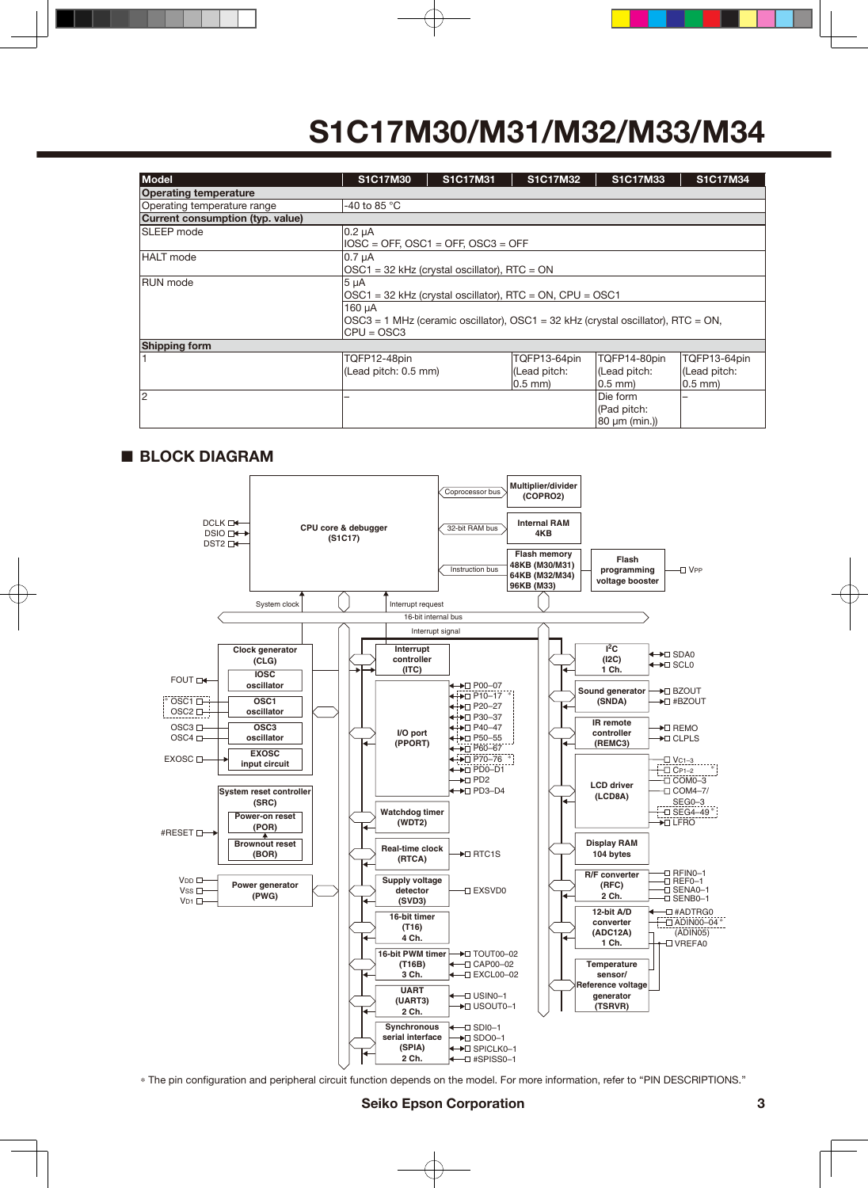| <b>Model</b>                                         | S1C17M30                                                                                                       | S1C17M31                                   | S1C17M32                                            | S1C17M33                                     | <b>S1C17M34</b>                               |  |  |  |  |  |  |
|------------------------------------------------------|----------------------------------------------------------------------------------------------------------------|--------------------------------------------|-----------------------------------------------------|----------------------------------------------|-----------------------------------------------|--|--|--|--|--|--|
| <b>Operating temperature</b>                         |                                                                                                                |                                            |                                                     |                                              |                                               |  |  |  |  |  |  |
| -40 to 85 $\degree$ C<br>Operating temperature range |                                                                                                                |                                            |                                                     |                                              |                                               |  |  |  |  |  |  |
| Current consumption (typ. value)                     |                                                                                                                |                                            |                                                     |                                              |                                               |  |  |  |  |  |  |
| <b>SLEEP</b> mode                                    | $0.2 \mu A$                                                                                                    | $IOSC = OFF$ , $OSC1 = OFF$ , $OSC3 = OFF$ |                                                     |                                              |                                               |  |  |  |  |  |  |
| <b>HALT</b> mode                                     | 0.7 µA<br>$OSC1 = 32$ kHz (crystal oscillator), RTC = ON                                                       |                                            |                                                     |                                              |                                               |  |  |  |  |  |  |
| <b>RUN</b> mode                                      | $5 \mu A$<br>OSC1 = 32 kHz (crystal oscillator), RTC = ON, CPU = OSC1                                          |                                            |                                                     |                                              |                                               |  |  |  |  |  |  |
|                                                      | 160 µA<br>$OSC3 = 1$ MHz (ceramic oscillator), $OSC1 = 32$ kHz (crystal oscillator), RTC = ON,<br>$CPU = OSC3$ |                                            |                                                     |                                              |                                               |  |  |  |  |  |  |
| <b>Shipping form</b>                                 |                                                                                                                |                                            |                                                     |                                              |                                               |  |  |  |  |  |  |
|                                                      | TQFP12-48pin<br>(Lead pitch: 0.5 mm)                                                                           |                                            | TQFP13-64pin<br>(Lead pitch:<br>$ 0.5$ mm $\rangle$ | TQFP14-80pin<br>(Lead pitch:<br>$0.5$ mm $)$ | TQFP13-64pin<br>(Lead pitch:<br>$ 0.5$ mm $ $ |  |  |  |  |  |  |
| 12                                                   |                                                                                                                |                                            |                                                     | Die form<br>(Pad pitch:<br> 80 µm (min.))    |                                               |  |  |  |  |  |  |

#### ■ **BLOCK DIAGRAM**



\* The pin configuration and peripheral circuit function depends on the model. For more information, refer to "PIN DESCRIPTIONS."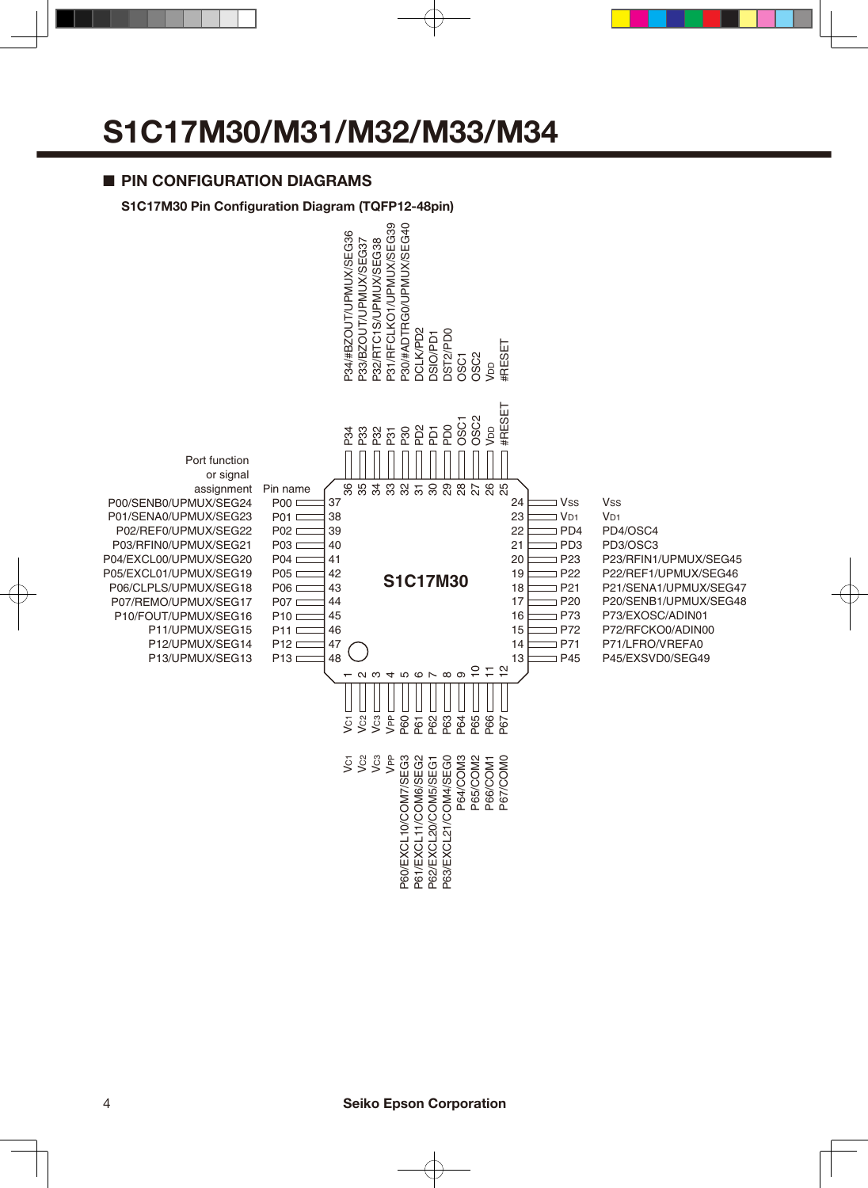#### ■ **PIN CONFIGURATION DIAGRAMS**



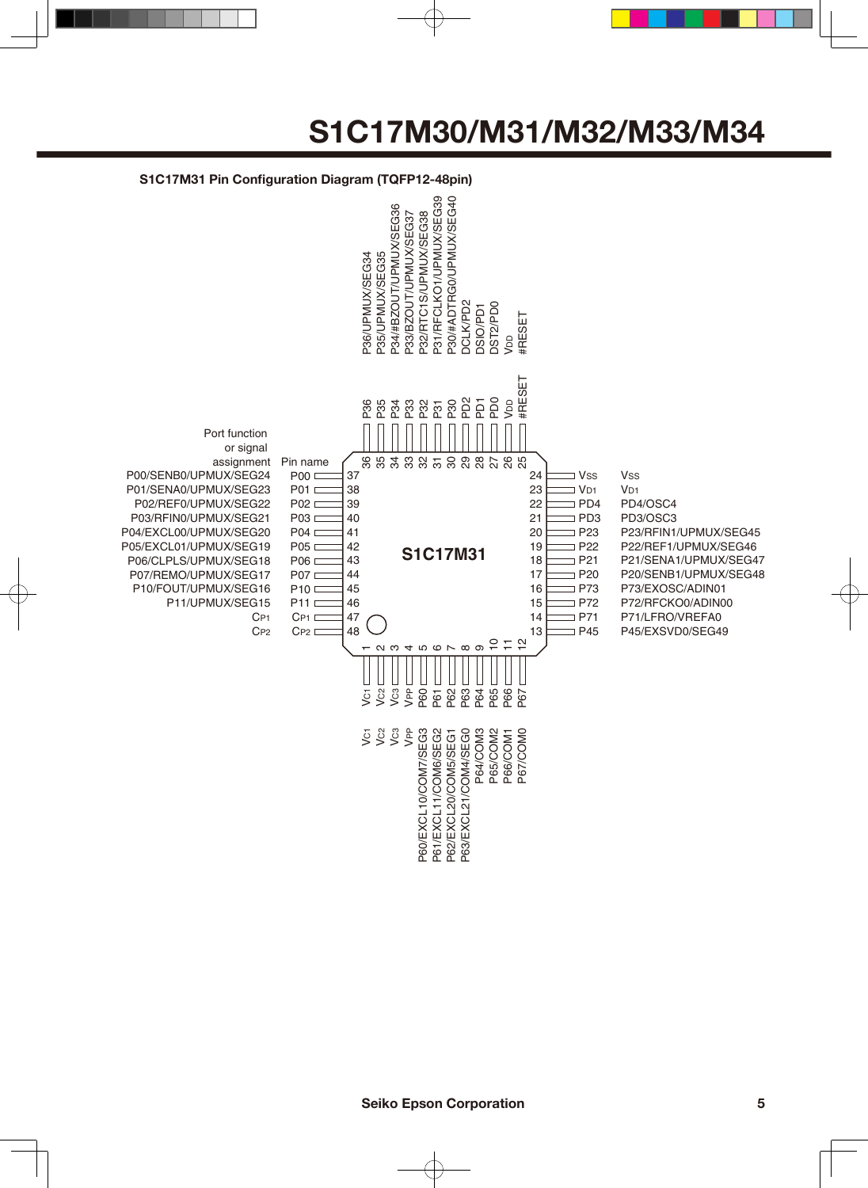

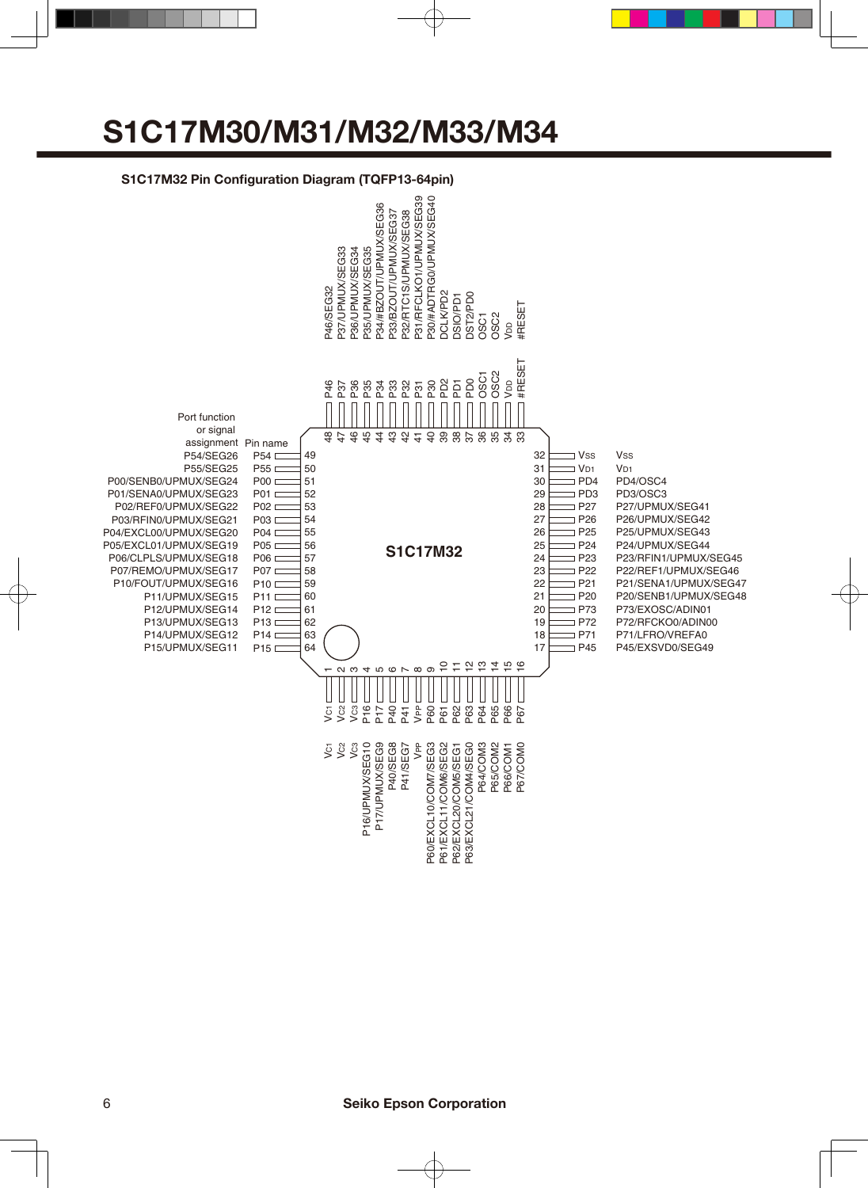#### **S1C17M32 Pin Configuration Diagram (TQFP13-64pin)**

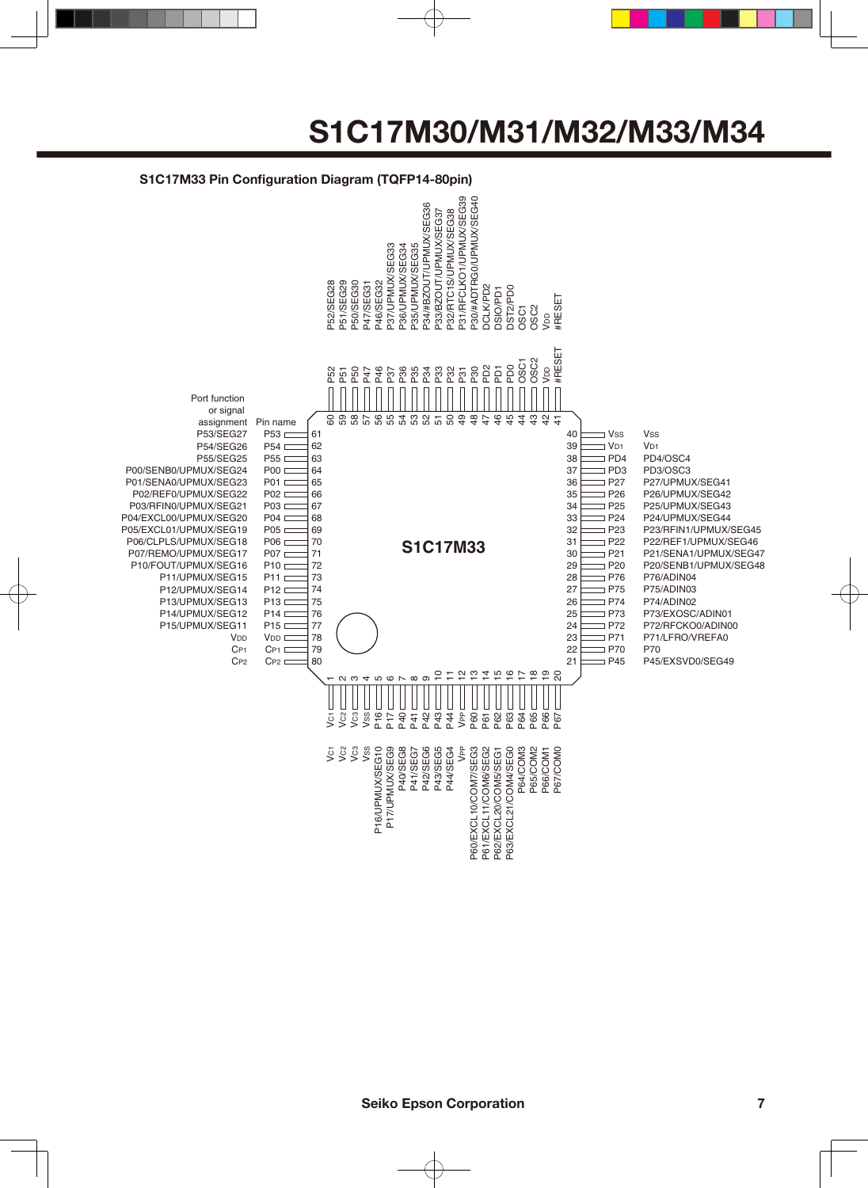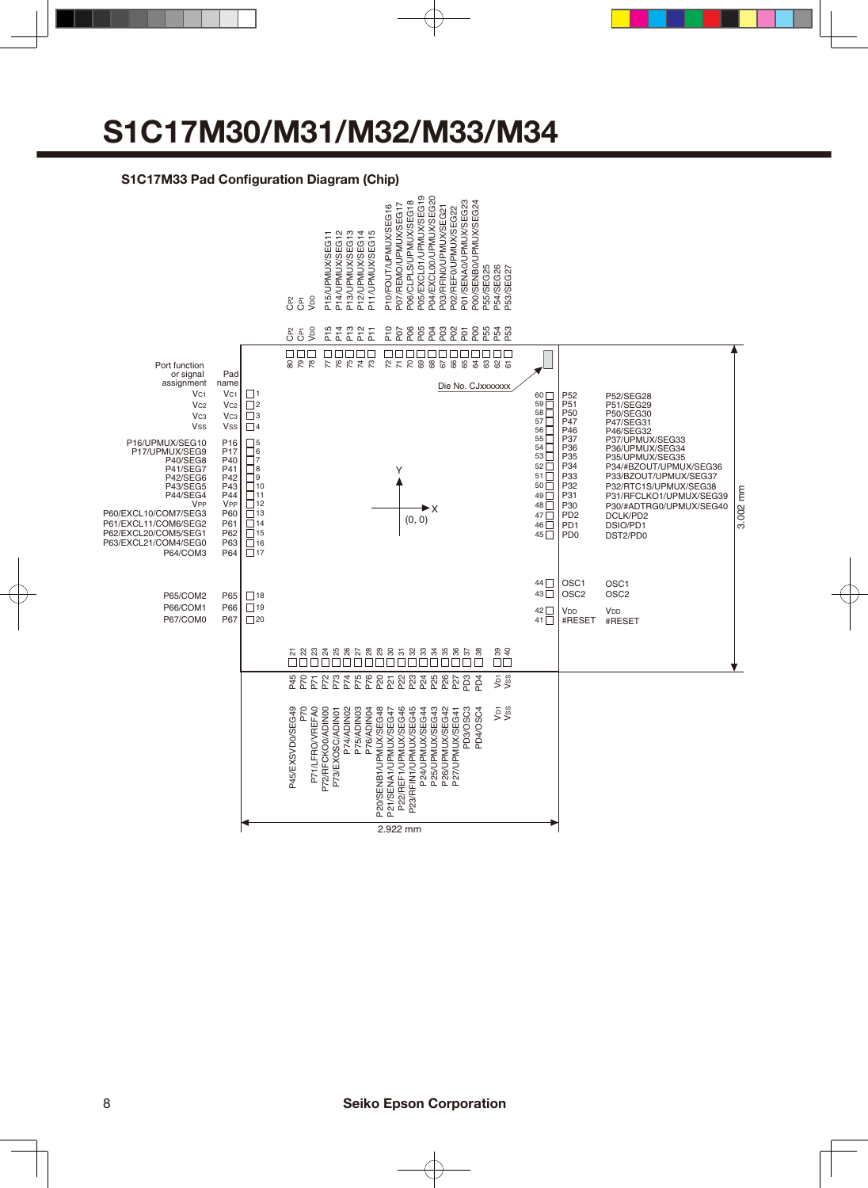#### **S1C17M33 Pad Configuration Diagram (Chip)**

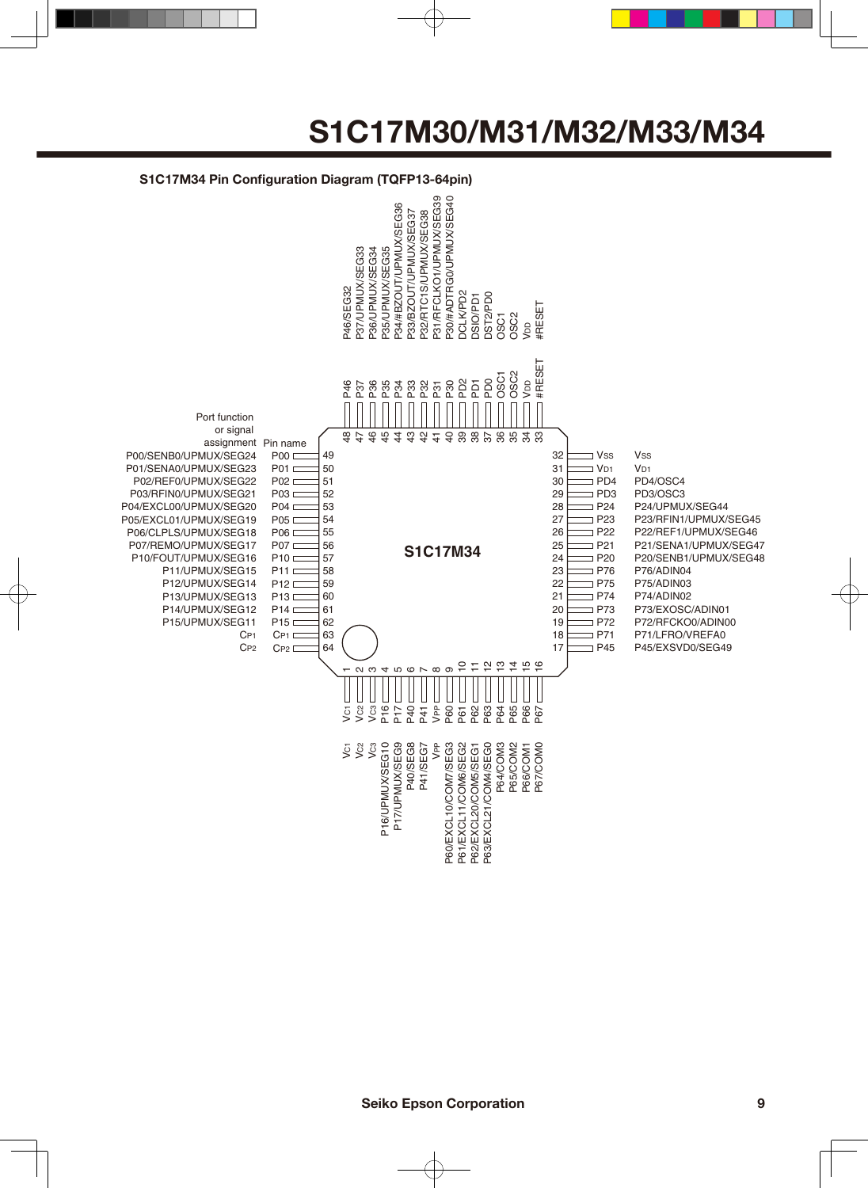#### **S1C17M34 Pin Configuration Diagram (TQFP13-64pin)** P30/#ADTRG0/UPMUX/SEG40 P31/RFCLKO1/UPMUX/SEG39 P31/RFCLKO1/UPMUX/SEG39 P30/#ADTRG0/UPMUX/SEG40 94/#BZOUT/UPMUX/SEG36 P34/#BZOUT/UPMUX/SEG36 P33/BZOUT/UPMUX/SEG37 P32/RTC1S/UPMUX/SEG38 P33/BZOUT/UPMUX/SEG37 P32/RTC1S/UPMUX/SEG38 P37/UPMUX/SEG33 P36/UPMUX/SEG34 P35/UPMUX/SEG35 P37/UPMUX/SEG33 P36/UPMUX/SEG34 P35/UPMUX/SEG35 **26533674** P46/SEG32 DCLK/PD2 **DST2PD0** DCLK/PD2 DST2/PD0 **DSIO/PD1** DSIO/PD1 #RESET OSC2 OSC1 VDD #RESET OSC2 OSC1 PD2 PD0 VDD P30 P46 P37 P36 P35 P34 P33 P32 PD1 P31 Port function or signal 48  $\overline{1}$  $\mathfrak{p}$  $45$ 44  $\frac{3}{4}$  $\frac{\Omega}{4}$  $\frac{4}{5}$  $\theta$ 39 38 37 8 8 <del>8</del> 8<br>8 9 8 9 assignment Pin name P00/SENB0/UPMUX/SEG24  $P00 \nightharpoonup$ 49 32  $\exists$  Vss **Vss** P01/SENA0/UPMUX/SEG23 **P01** 50 31  $\exists$  V<sub>D1</sub> V<sub>D1</sub> P02/REF0/UPMUX/SEG22  $PO2 \sqsubset$ 51 30  $\Box$  PD4 PD4/OSC4 P03/RFIN0/UPMUX/SEG21 **P03** 52 29  $\Box$  PD3 PD3/OSC3 P04/EXCL00/UPMUX/SEG20 **P04**  $\Box$ 53 28  $\Box$  P24 P24/UPMUX/SEG44 **P05** P05/EXCL01/UPMUX/SEG19 54 27 P23 P23/RFIN1/UPMUX/SEG45 P06/CLPLS/UPMUX/SEG18 **P06** D 55 26  $\Box$  P22 P22/REF1/UPMUX/SEG46 P07/REMO/UPMUX/SEG17 56 25 P21 P21/SENA1/UPMUX/SEG47 **P07 S1C17M34** 57 24  $\Box$  P20 P20/SENB1/UPMUX/SEG48 P10/FOUT/UPMUX/SEG16 **P10**  $\Box$ P11/UPMUX/SEG15 **P11** D 58 23 P76 P76/ADIN04 P12/UPMUX/SEG14  $P12C$ 59 22  $\Box$  P75 P75/ADIN03 60 P13/UPMUX/SEG13 **P13** 21  $\supset$  P74 P74/ADIN02 61 P73/EXOSC/ADIN01 P14/UPMUX/SEG12 **P14** D 20  $\Box$  P73 P15/UPMUX/SEG11 **P15** 62 19  $\Box$  P72 P72/RFCKO0/ADIN00 63 18  $\Box$  P71 P71/LFRO/VREFA0  $C_{P1}$  $\Gamma$ CP1 CP2C<sub>P2</sub> 64 17  $\Box$  P45 P45/EXSVD0/SEG49 2 7 2 7 2 9 ດ ຕ 4567 ထ တ  $\mathbf -$ P16 P40 VC3 P17 VPP P62 P63 P65 P66 P67 ت<br>> 9  $F<sub>c</sub>$ P60 P61 P64 P40/SEG8<br>P41/SEG7 P64/COM3<br>P65/COM2<br>P66/COM1<br>P67/COM0 P61/EXCL11/COM6/SEG2<br>P62/EXCL20/COM5/SEG1<br>P63/EXCL21/COM4/SEG0 P16/UPMUX/SEG10 P17/UPMUX/SEG9 VPP P60/EXCL10/COM7/SEG3 ق فا ق<br>< < < P16/UPMUX/SEG10 P17/UPMUX/SEG9 P40/SEG8 P41/SEG7 P60/EXCL10/COM7/SEG3 P61/EXCL11/COM6/SEG2 P63/EXCL21/COM4/SEG0 P64/COM3 P65/COM2 P67/COM0 P62/EXCL20/COM5/SEG1 P66/COM1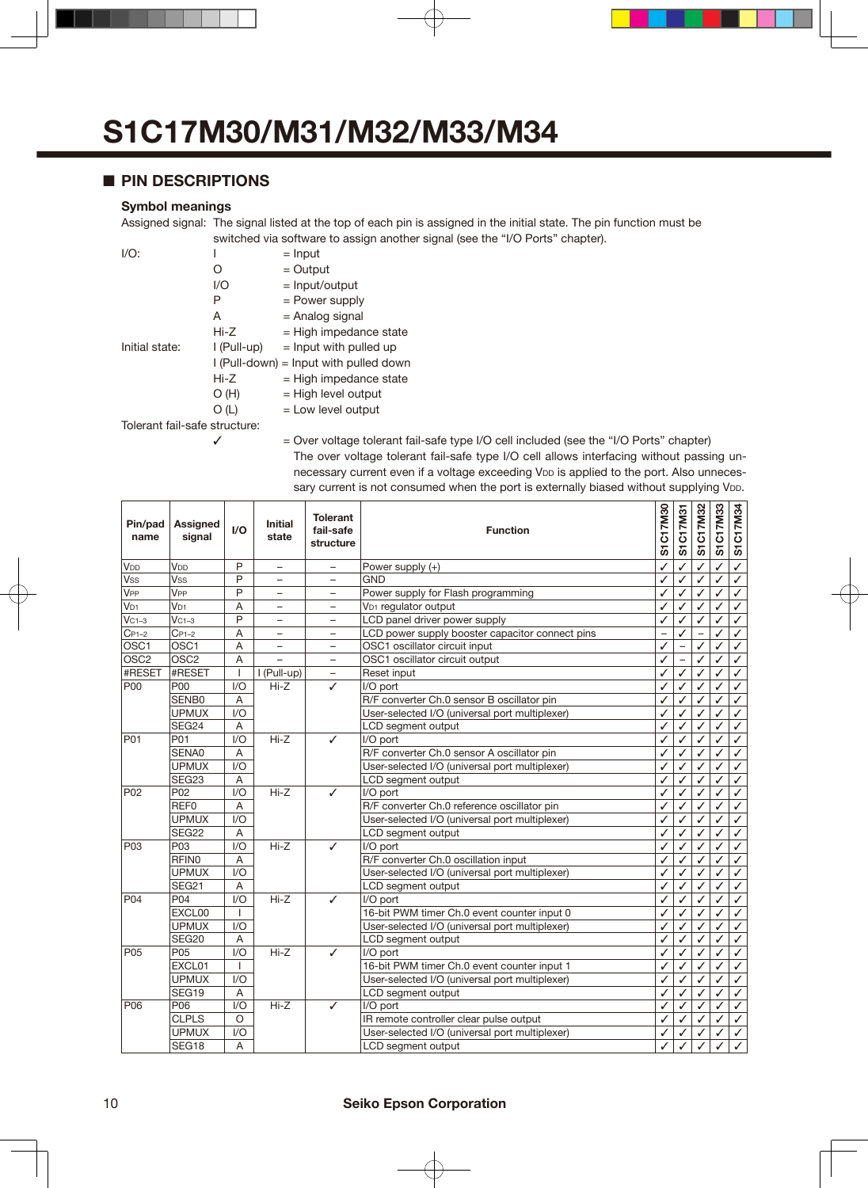#### ■ **PIN DESCRIPTIONS**

#### **Symbol meanings**

Assigned signal: The signal listed at the top of each pin is assigned in the initial state. The pin function must be switched via software to assign another signal (see the "I/O Ports" chapter).

| $I/O$ :                       |               | $=$ Input                              |  |  |  |  |  |  |
|-------------------------------|---------------|----------------------------------------|--|--|--|--|--|--|
|                               | Ω             | $=$ Output                             |  |  |  |  |  |  |
|                               | 1/O           | $=$ Input/output                       |  |  |  |  |  |  |
|                               | P             | = Power supply                         |  |  |  |  |  |  |
|                               | A             | = Analog signal                        |  |  |  |  |  |  |
|                               | Hi-Z          | $=$ High impedance state               |  |  |  |  |  |  |
| Initial state:                | $I$ (Pull-up) | $=$ lnput with pulled up               |  |  |  |  |  |  |
|                               |               | I (Pull-down) = Input with pulled down |  |  |  |  |  |  |
|                               | Hi-Z          | $=$ High impedance state               |  |  |  |  |  |  |
|                               | O(H)          | $=$ High level output                  |  |  |  |  |  |  |
|                               | O (L)         | $=$ Low level output                   |  |  |  |  |  |  |
| Tolerant fail-safe structure: |               |                                        |  |  |  |  |  |  |

 $\checkmark$  = Over voltage tolerant fail-safe type I/O cell included (see the "I/O Ports" chapter) The over voltage tolerant fail-safe type I/O cell allows interfacing without passing unnecessary current even if a voltage exceeding VDD is applied to the port. Also unnecessary current is not consumed when the port is externally biased without supplying V<sub>DD</sub>.

| Pin/pad<br>name  | <b>Assigned</b><br>signal | I/O          | <b>Initial</b><br>state  | <b>Tolerant</b><br>fail-safe<br>structure | <b>Function</b>                                 |   | S1C17M31                 | S1C17M32 | S1C17M33 | S1C17M34     |
|------------------|---------------------------|--------------|--------------------------|-------------------------------------------|-------------------------------------------------|---|--------------------------|----------|----------|--------------|
| V <sub>DD</sub>  | V <sub>DD</sub>           | P            | $\overline{a}$           | $\overline{a}$                            | Power supply (+)                                | ✓ |                          |          |          | $\checkmark$ |
| <b>Vss</b>       | <b>Vss</b>                | P            | $\overline{\phantom{0}}$ | Ξ.                                        | <b>GND</b>                                      | ✓ | ✓                        | ✓        | ✓        | ✓            |
| V <sub>PP</sub>  | V <sub>PP</sub>           | P            | $\overline{\phantom{0}}$ | $\overline{\phantom{0}}$                  | Power supply for Flash programming              | ✓ | ✓                        | ✓        | ✓        | ✓            |
| V <sub>D1</sub>  | V <sub>D1</sub>           | A            | $\overline{\phantom{0}}$ | $\equiv$                                  | V <sub>D1</sub> regulator output                | ✓ | ✓                        | ✓        | ✓        | $\checkmark$ |
| $VC1-3$          | $VC1-3$                   | P            | -                        | -                                         | LCD panel driver power supply                   | ✓ | ✓                        | ✓        | ✓        | $\checkmark$ |
| $C_{P1-2}$       | $C_{P1-2}$                | A            | $\overline{\phantom{0}}$ | $\overline{\phantom{0}}$                  | LCD power supply booster capacitor connect pins |   |                          |          | ✓        | ✓            |
| OSC1             | OSC <sub>1</sub>          | A            | $\overline{\phantom{0}}$ | $\overline{\phantom{0}}$                  | OSC1 oscillator circuit input                   | ✓ |                          | ✓        | ✓        | ✓            |
| OSC <sub>2</sub> | OSC <sub>2</sub>          | A            | $\overline{a}$           | $\overline{\phantom{0}}$                  | OSC1 oscillator circuit output                  | ✓ | $\overline{\phantom{0}}$ | ✓        | ✓        | ✓            |
| #RESET           | #RESET                    | $\mathbf{I}$ | I (Pull-up)              | $\qquad \qquad -$                         | Reset input                                     | ✓ | ✓                        | ✓        | ✓        | ✓            |
| <b>P00</b>       | <b>P00</b>                | I/O          | $Hi-Z$                   | ✓                                         | I/O port                                        | ✓ | ✓                        | ✓        | ✓        | ✓            |
|                  | SENB0                     | A            |                          |                                           | R/F converter Ch.0 sensor B oscillator pin      | ✓ | ✓                        | ✓        | ✓        | ✓            |
|                  | <b>UPMUX</b>              | 1/O          |                          |                                           | User-selected I/O (universal port multiplexer)  | ✓ | ✓                        | ✓        | ✓        | $\checkmark$ |
|                  | SEG24                     | A            |                          |                                           | LCD segment output                              | ✓ | ✓                        | ✓        | ✓        | $\checkmark$ |
| P01              | P01                       | 1/O          | $Hi-Z$                   | ✓                                         | I/O port                                        | ✓ |                          | ✓        | ✓        | ✓            |
|                  | SENA0                     | A            |                          |                                           | R/F converter Ch.0 sensor A oscillator pin      | ✓ | ✓                        | ✓        | ✓        | $\checkmark$ |
|                  | <b>UPMUX</b>              | 1/O          |                          |                                           | User-selected I/O (universal port multiplexer)  | ✓ | ✓                        | ✓        | ✓        | $\checkmark$ |
|                  | SEG <sub>23</sub>         | A            |                          |                                           | LCD segment output                              | ✓ | ✓                        | ✓        | ✓        | ✓            |
| P <sub>02</sub>  | P <sub>02</sub>           | 1/O          | $Hi-Z$                   | ✓                                         | I/O port<br>✓                                   |   | ✓                        | ✓        | ✓        | ✓            |
|                  | REF <sub>0</sub>          | A            |                          |                                           | R/F converter Ch.0 reference oscillator pin     | ✓ | ✓                        | ✓        | ✓        | ✓            |
|                  | <b>UPMUX</b>              | 1/O          |                          |                                           | User-selected I/O (universal port multiplexer)  | ✓ | ✓                        | ✓        | ✓        | ✓            |
|                  | SEG22                     | A            |                          |                                           | LCD segment output                              | ✓ | ✓                        | J        | ✓        | ✓            |
| P <sub>03</sub>  | P <sub>03</sub>           | 1/O          | $Hi-Z$                   | ✓                                         | I/O port                                        | ✓ | ✓                        | J        | ✓        | ✓            |
|                  | <b>RFINO</b>              | A            |                          |                                           | R/F converter Ch.0 oscillation input            | ✓ | ✓                        | ✓        | ✓        | ✓            |
|                  | <b>UPMUX</b>              | 1/O          |                          |                                           | User-selected I/O (universal port multiplexer)  | ✓ | ✓                        | ✓        | ✓        | ✓            |
|                  | SEG21                     | A            |                          |                                           | LCD segment output                              | ✓ | $\checkmark$             | ✓        | ✓        | ✓            |
| P04              | P04                       | 1/O          | $Hi-Z$                   | ✓                                         | I/O port                                        | ✓ | J                        | J        | ✓        | $\checkmark$ |
|                  | EXCL00                    | $\mathbf{I}$ |                          |                                           | 16-bit PWM timer Ch.0 event counter input 0     | ✓ | ✓                        | ✓        | ✓        | $\checkmark$ |
|                  | <b>UPMUX</b>              | 1/O          |                          |                                           | User-selected I/O (universal port multiplexer)  | ✓ | ✓                        | ✓        | ✓        | ✓            |
|                  | SEG20                     | A            |                          |                                           | LCD segment output                              | ✓ | ✓                        | ✓        | ✓        | ✓            |
| P05              | P05                       | 1/O          | $Hi-Z$                   | ✓                                         | I/O port                                        | ✓ | ✓                        | ✓        | ✓        | ✓            |
|                  | EXCL01                    | $\mathbf{I}$ |                          |                                           | 16-bit PWM timer Ch.0 event counter input 1     | ✓ | ✓                        | ✓        | ✓        | $\checkmark$ |
|                  | <b>UPMUX</b>              | 1/O          |                          |                                           | User-selected I/O (universal port multiplexer)  | ✓ | ✓                        | ✓        | ✓        | ✓            |
|                  | SEG19                     | A            |                          |                                           | LCD segment output                              | ✓ | ✓                        | ✓        | ✓        | ✓            |
| P06              | P06                       | 1/O          | $Hi-Z$                   | $\checkmark$                              | I/O port                                        | ✓ | ✓                        | ✓        | ✓        | ✓            |
|                  | <b>CLPLS</b>              | $\circ$      |                          |                                           | IR remote controller clear pulse output         | ✓ | ✓                        | ✓        | ✓        | ✓            |
|                  | <b>UPMUX</b>              | 1/O          |                          |                                           | User-selected I/O (universal port multiplexer)  | ✓ |                          | ✓        | ✓        | $\checkmark$ |
|                  | SEG18                     | A            |                          |                                           | LCD segment output                              |   |                          |          |          |              |

#### 10 **Seiko Epson Corporation**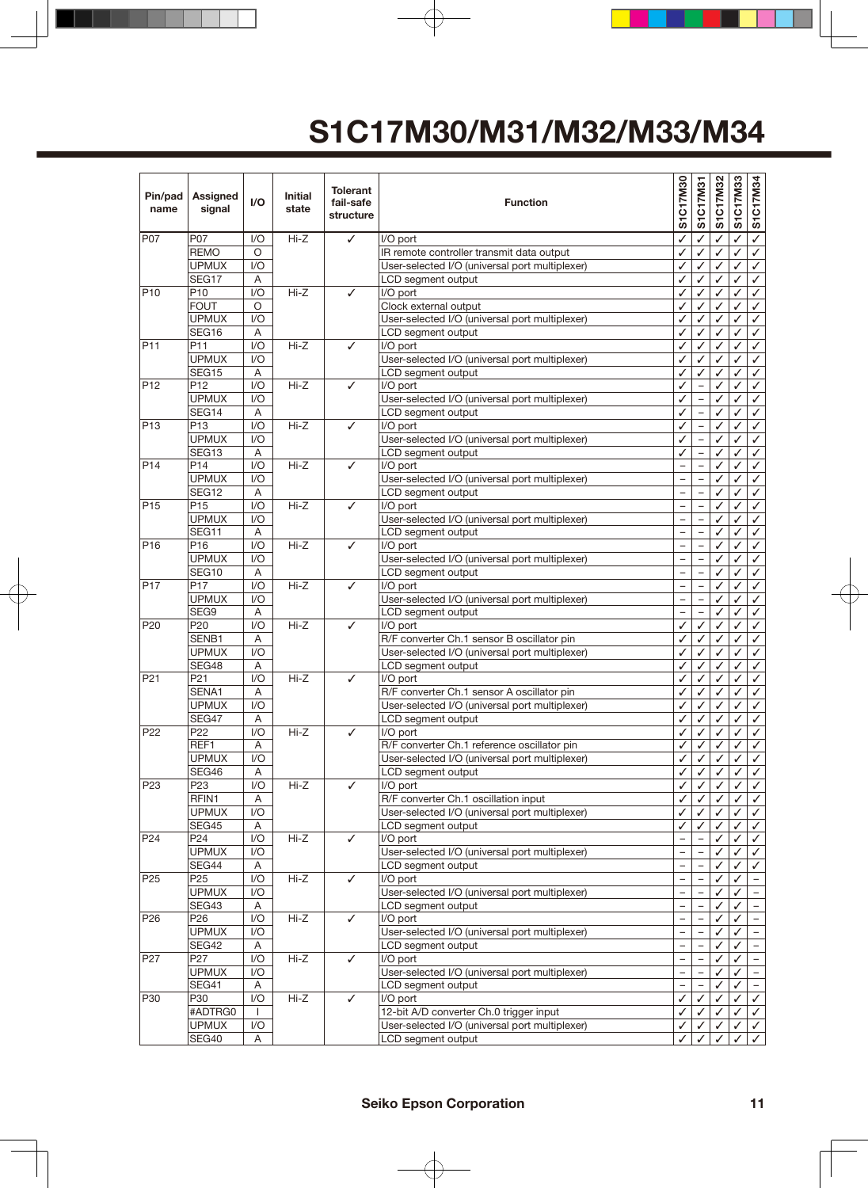| Pin/pad<br>name | Assigned<br>signal       | I/O              | <b>Initial</b><br>state | <b>Tolerant</b><br>fail-safe<br>structure | <b>Function</b>                                                                        |                          | S1C17M31                 | S1C17M32 | S1C17M33 | S1C17M34                     |
|-----------------|--------------------------|------------------|-------------------------|-------------------------------------------|----------------------------------------------------------------------------------------|--------------------------|--------------------------|----------|----------|------------------------------|
| P07             | P07                      | I/O              | $Hi-Z$                  | ✓                                         | I/O port                                                                               | ✓                        | ✓                        |          | ✓        | $\checkmark$                 |
|                 | <b>REMO</b>              | O                |                         |                                           | IR remote controller transmit data output                                              | ✓                        | $\checkmark$             | ✓        | ✓        | $\checkmark$                 |
|                 | <b>UPMUX</b>             | 1/O              |                         |                                           | User-selected I/O (universal port multiplexer)                                         | ✓                        | ✓                        | ✓        | ✓        | ✓                            |
|                 | SEG17                    | A                |                         |                                           | LCD segment output                                                                     | ✓                        | ✓                        | ✓        | ✓        | $\checkmark$                 |
| P <sub>10</sub> | P <sub>10</sub>          | 1/O              | $Hi-Z$                  | ✓                                         | I/O port                                                                               | ✓                        | ✓                        | ✓        | ✓        | $\checkmark$                 |
|                 | <b>FOUT</b>              | O                |                         |                                           | Clock external output                                                                  | ✓                        | ✓                        | ✓        | ✓        | $\checkmark$                 |
|                 | <b>UPMUX</b>             | 1/O              |                         |                                           | User-selected I/O (universal port multiplexer)                                         | ✓                        | ✓                        | ✓        | ✓        | $\checkmark$                 |
|                 | SEG16                    | Α                |                         |                                           | LCD segment output                                                                     | ✓                        | ✓                        | ✓        | ✓        | $\checkmark$                 |
| P <sub>11</sub> | P <sub>11</sub>          | I/O              | $Hi-Z$                  | ✓                                         | I/O port                                                                               | ✓                        | ✓                        | ✓        | ✓        | $\checkmark$                 |
|                 | <b>UPMUX</b>             | 1/O              |                         |                                           | User-selected I/O (universal port multiplexer)                                         | ✓                        | ✓                        | ✓        | ✓        | $\checkmark$                 |
| P <sub>12</sub> | SEG15<br>P <sub>12</sub> | Α                | $Hi-Z$                  |                                           | LCD segment output                                                                     | ✓<br>✓                   | ✓<br>$\overline{a}$      | ✓<br>✓   | ✓        | $\checkmark$                 |
|                 | <b>UPMUX</b>             | I/O<br>1/O       |                         | ✓                                         | I/O port<br>User-selected I/O (universal port multiplexer)                             | ✓                        | $\overline{\phantom{0}}$ | ✓        | ✓<br>✓   | $\checkmark$<br>$\checkmark$ |
|                 | SEG14                    | A                |                         |                                           | LCD segment output                                                                     | ✓                        | $\overline{\phantom{0}}$ | ✓        | ✓        | $\checkmark$                 |
| P <sub>13</sub> | P <sub>13</sub>          | 1/O              | $Hi-Z$                  | ✓                                         | I/O port                                                                               | ✓                        |                          | ✓        | ✓        | $\checkmark$                 |
|                 | <b>UPMUX</b>             | 1/O              |                         |                                           | User-selected I/O (universal port multiplexer)                                         | ✓                        | $\overline{\phantom{0}}$ | ✓        | ✓        | ✓                            |
|                 | SEG13                    | A                |                         |                                           | LCD segment output                                                                     | ✓                        | $\qquad \qquad -$        | ✓        | ✓        | ✓                            |
| P <sub>14</sub> | P <sub>14</sub>          | 1/O              | $Hi-Z$                  | ✓                                         | I/O port                                                                               |                          | $-$                      | ✓        | ✓        | $\checkmark$                 |
|                 | <b>UPMUX</b>             | 1/O              |                         |                                           | User-selected I/O (universal port multiplexer)                                         | $\equiv$                 | $\overline{a}$           | ✓        | ✓        | ✓                            |
|                 | SEG12                    | Α                |                         |                                           | LCD segment output                                                                     | $\qquad \qquad -$        | -                        | ✓        | ✓        | $\checkmark$                 |
| P <sub>15</sub> | P <sub>15</sub>          | 1/O              | $Hi-Z$                  | ✓                                         | I/O port                                                                               | $\equiv$                 | $\overline{\phantom{0}}$ | ✓        | ✓        | $\checkmark$                 |
|                 | <b>UPMUX</b>             | 1/O              |                         |                                           | User-selected I/O (universal port multiplexer)                                         |                          |                          | J        |          | $\checkmark$                 |
|                 | SEG11                    | A                |                         |                                           | LCD segment output                                                                     | $\overline{\phantom{0}}$ | $\equiv$                 | ✓        | ✓        | $\checkmark$                 |
| P <sub>16</sub> | P16                      | I/O              | $Hi-Z$                  | ✓                                         | I/O port                                                                               | $\equiv$                 | $\equiv$                 | ✓        | ✓        | $\checkmark$                 |
|                 | <b>UPMUX</b>             | 1/O              |                         |                                           | User-selected I/O (universal port multiplexer)                                         |                          | $\equiv$                 | ✓        | ✓        | $\checkmark$                 |
|                 | SEG10                    | A                |                         |                                           | LCD segment output                                                                     | $\equiv$                 | $\overline{a}$           | ✓        | ✓        | $\checkmark$                 |
| P <sub>17</sub> | P <sub>17</sub>          | 1/O              | $Hi-Z$                  | $\checkmark$                              | I/O port                                                                               | $\qquad \qquad -$        | $\overline{\phantom{0}}$ | ✓        | ✓        | $\checkmark$                 |
|                 | <b>UPMUX</b>             | 1/O              |                         |                                           | User-selected I/O (universal port multiplexer)                                         | $\overline{\phantom{0}}$ | $\overline{\phantom{a}}$ | ✓        | ✓        | ✓                            |
|                 | SEG9                     | A                |                         |                                           | LCD segment output                                                                     |                          |                          | ✓        | ✓        | $\checkmark$                 |
| P <sub>20</sub> | P <sub>20</sub>          | 1/O              | Hi-Z                    | $\checkmark$                              | I/O port                                                                               | ✓                        | ✓                        | ✓        | ✓        | $\checkmark$                 |
|                 | SENB1                    | A                |                         |                                           | R/F converter Ch.1 sensor B oscillator pin                                             |                          | ✓                        | ✓        | ✓        | $\checkmark$                 |
|                 | <b>UPMUX</b>             | 1/O              |                         |                                           | User-selected I/O (universal port multiplexer)                                         |                          | ✓                        | ✓        | ✓        | $\checkmark$                 |
|                 | SEG48                    | A                |                         |                                           | LCD segment output                                                                     | ✓                        | ✓                        | ✓        | ✓        | $\checkmark$                 |
| P <sub>21</sub> | P <sub>21</sub>          | $U$              | $Hi-Z$                  | ✓                                         | I/O port                                                                               | ✓                        | ✓                        | ✓        | ✓        | ✓                            |
|                 | SENA1                    | A                |                         |                                           | R/F converter Ch.1 sensor A oscillator pin                                             | ✓                        | ✓                        | ✓        | ✓        | $\checkmark$                 |
|                 | <b>UPMUX</b>             | I/O              |                         |                                           | User-selected I/O (universal port multiplexer)                                         | ✓                        | ✓                        | ✓        | ✓        | $\checkmark$                 |
|                 | SEG47                    | A                |                         |                                           | LCD segment output                                                                     | ✓                        | ✓                        | ✓        | ✓        | $\checkmark$                 |
| P <sub>22</sub> | P <sub>22</sub>          | I/O              | $Hi-Z$                  | ✓                                         | I/O port                                                                               | ✓                        | ✓                        | ✓        | ✓        | $\checkmark$                 |
|                 | REF1                     | A                |                         |                                           | R/F converter Ch.1 reference oscillator pin                                            | ✓                        | ✓                        | ✓        |          | $\checkmark$                 |
|                 | <b>UPMUX</b>             | 1/O              |                         |                                           | User-selected I/O (universal port multiplexer)                                         | ✓                        | ✓                        | ✓        | ✓        | $\checkmark$                 |
|                 | SEG46                    | Α                |                         |                                           | LCD segment output                                                                     | ✓                        | ✓                        | ✓        | ✓        | $\checkmark$                 |
| P <sub>23</sub> | P <sub>23</sub>          | $\overline{1/O}$ | $Hi-Z$                  | ✓                                         | I/O port                                                                               | ✓                        | $\checkmark$             | ✓        | ✓        | $\checkmark$                 |
|                 | RFIN1<br><b>UPMUX</b>    | A<br>1/O         |                         |                                           | R/F converter Ch.1 oscillation input<br>User-selected I/O (universal port multiplexer) | ✓<br>✓                   | ✓                        | ✓        | ✓        | $\checkmark$                 |
|                 |                          |                  |                         |                                           |                                                                                        |                          | ✓                        | ✓        | ✓        | ✓                            |
| P <sub>24</sub> | SEG45<br>P24             | Α<br>I/O         | Hi-Z                    | ✓                                         | LCD segment output<br>I/O port                                                         | ✓                        | ✓                        | ✓<br>✓   | ✓<br>✓   | $\checkmark$<br>$\checkmark$ |
|                 | <b>UPMUX</b>             | 1/O              |                         |                                           | User-selected I/O (universal port multiplexer)                                         | $\overline{\phantom{0}}$ | $\overline{\phantom{0}}$ | ✓        | ✓        | $\checkmark$                 |
|                 | SEG44                    | A                |                         |                                           | LCD segment output                                                                     |                          |                          | ✓        | ✓        | $\checkmark$                 |
| P <sub>25</sub> | P <sub>25</sub>          | 1/O              | $Hi-Z$                  | ✓                                         | I/O port                                                                               |                          |                          | ✓        | ✓        |                              |
|                 | <b>UPMUX</b>             | 1/O              |                         |                                           | User-selected I/O (universal port multiplexer)                                         |                          |                          | ✓        | ✓        |                              |
|                 | SEG43                    | A                |                         |                                           | LCD segment output                                                                     | $\overline{\phantom{0}}$ | $\overline{\phantom{0}}$ | ✓        | ✓        | $\overline{\phantom{a}}$     |
| P <sub>26</sub> | P <sub>26</sub>          | 1/O              | Hi-Z                    | ✓                                         | I/O port                                                                               |                          |                          | ✓        | ✓        | $\overline{\phantom{m}}$     |
|                 | <b>UPMUX</b>             | 1/O              |                         |                                           | User-selected I/O (universal port multiplexer)                                         |                          |                          |          | ✓        |                              |
|                 | SEG42                    | Α                |                         |                                           | LCD segment output                                                                     | $\overline{\phantom{0}}$ | $\equiv$                 | ✓        | ✓        | $\overline{\phantom{m}}$     |
| P27             | P <sub>27</sub>          | 1/O              | Hi-Z                    | ✓                                         | I/O port                                                                               | $\overline{\phantom{0}}$ |                          | ✓        | ✓        | $\equiv$                     |
|                 | <b>UPMUX</b>             | 1/O              |                         |                                           | User-selected I/O (universal port multiplexer)                                         |                          |                          | ✓        | ✓        | $\overline{\phantom{m}}$     |
|                 | SEG41                    | Α                |                         |                                           | LCD segment output                                                                     | $\equiv$                 | $\equiv$                 | ✓        | ✓        | $\equiv$                     |
| P30             | P30                      | 1/O              | Hi-Z                    | $\checkmark$                              | I/O port                                                                               | ✓                        | ✓                        | ✓        | ✓        | $\checkmark$                 |
|                 | #ADTRG0                  | $\mathbf{I}$     |                         |                                           | 12-bit A/D converter Ch.0 trigger input                                                | ✓                        | ✓                        | ✓        | ✓        | $\checkmark$                 |
|                 | <b>UPMUX</b>             | I/O              |                         |                                           | User-selected I/O (universal port multiplexer)                                         | $\checkmark$             | $\checkmark$             | ✓        | ✓        | $\checkmark$                 |
|                 | SEG40                    | Α                |                         |                                           | LCD segment output                                                                     | ✓                        | ✓                        | ✓        | ✓        | $\checkmark$                 |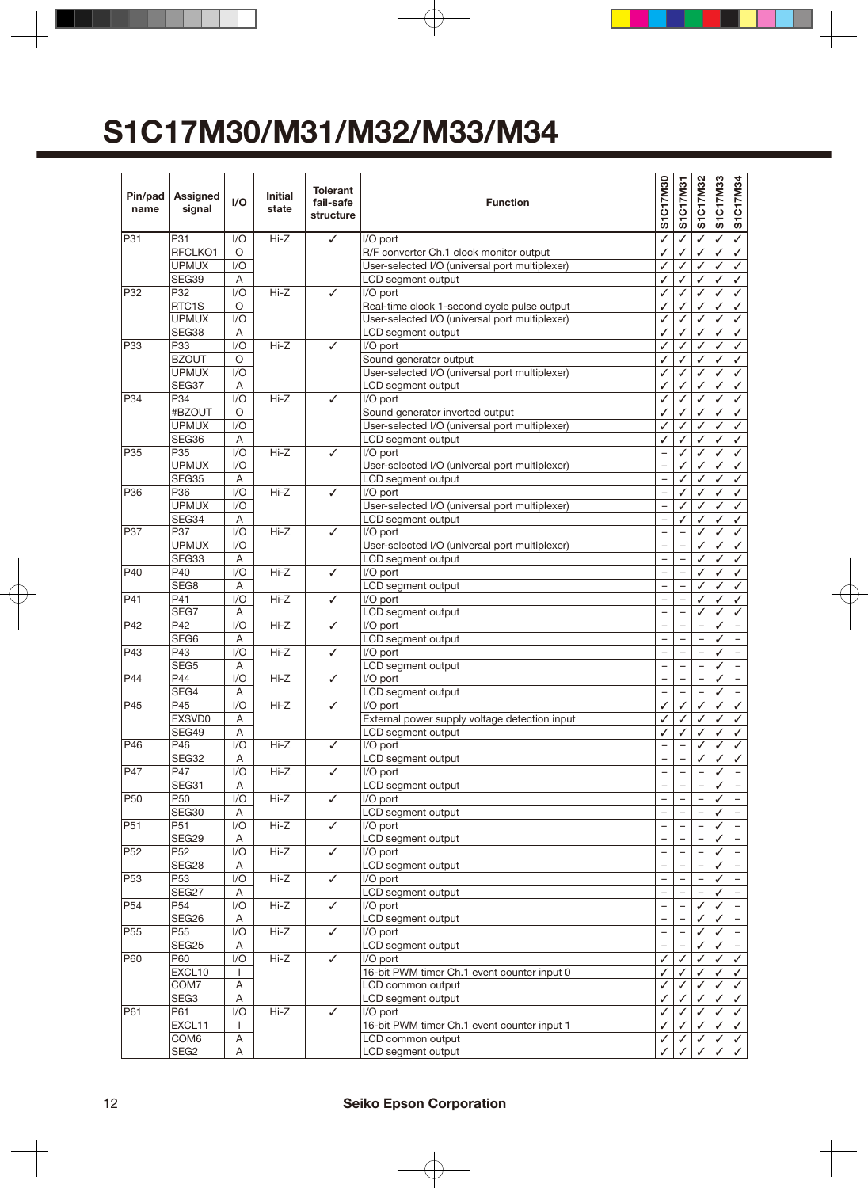| Pin/pad<br>name | Assigned<br>signal | I/O                     | <b>Initial</b><br>state | <b>Tolerant</b><br>fail-safe<br>structure | <b>Function</b>                                |                          | S1C17M31                 | S1C17M32                 | S1C17M33 | S1C17M34                      |
|-----------------|--------------------|-------------------------|-------------------------|-------------------------------------------|------------------------------------------------|--------------------------|--------------------------|--------------------------|----------|-------------------------------|
| P31             | P31                | 1/O                     | $Hi-Z$                  | ✓                                         | I/O port                                       |                          |                          |                          |          | ✓                             |
|                 | RFCLKO1            | $\circ$                 |                         |                                           | R/F converter Ch.1 clock monitor output        | ✓                        | ✓                        | ✓                        | ✓        | ✓                             |
|                 | <b>UPMUX</b>       | 1/O                     |                         |                                           | User-selected I/O (universal port multiplexer) | ✓                        | ✓                        | ✓                        | ✓        | ✓                             |
|                 | SEG39              | A                       |                         |                                           | LCD segment output                             | ✓                        | ✓                        | ✓                        | ✓        | ✓                             |
| P32             | P32                | 1/O                     | $Hi-Z$                  | ✓                                         | I/O port                                       | ✓                        | $\mathcal{L}$            | ✓                        | ✓        | ✓                             |
|                 | RTC1S              | O                       |                         |                                           | Real-time clock 1-second cycle pulse output    | ✓                        | $\checkmark$             | ✓                        | ✓        | ✓                             |
|                 | <b>UPMUX</b>       | I/O                     |                         |                                           | User-selected I/O (universal port multiplexer) | ✓                        | ✓                        | ✓                        | ✓        | ✓                             |
|                 | SEG38              | A                       |                         |                                           | LCD segment output                             | ✓                        | ✓                        | ✓                        | ✓        | ✓                             |
| P33             | P33                | I/O                     | $Hi-Z$                  | ✓                                         | I/O port                                       | ✓                        | ✓                        | ✓                        | ✓        | ✓                             |
|                 | <b>BZOUT</b>       | $\circ$                 |                         |                                           | Sound generator output                         | ✓                        | ✓                        | ✓                        | ✓        | ✓                             |
|                 | <b>UPMUX</b>       | I/O                     |                         |                                           | User-selected I/O (universal port multiplexer) | ✓                        | ✓                        | ✓                        | ✓        | ✓                             |
|                 | SEG37              | A                       |                         |                                           | LCD segment output                             | ✓                        | ✓                        | ✓                        | ✓        | ✓                             |
| P34             | P34                | 1/O                     | $Hi-Z$                  | ✓                                         | I/O port                                       | ✓                        | ✓                        | ✓                        | ✓        | ✓                             |
|                 | #BZOUT             | $\circ$                 |                         |                                           | Sound generator inverted output                | ✓                        | ✓                        | ✓                        | ✓        | ✓                             |
|                 | <b>UPMUX</b>       | I/O                     |                         |                                           | User-selected I/O (universal port multiplexer) | ✓                        | ✓                        | ✓                        | ✓        | ✓                             |
|                 | SEG36              | A                       |                         |                                           | LCD segment output                             | ✓                        | ✓                        | ✓                        | ✓        | ✓                             |
| P35             | P35                | 1/O                     | $Hi-Z$                  | ✓                                         | I/O port                                       | $\overline{\phantom{0}}$ | ✓                        | ✓                        | ✓        | ✓                             |
|                 | <b>UPMUX</b>       | 1/O                     |                         |                                           | User-selected I/O (universal port multiplexer) |                          | ✓                        | ✓                        | ✓        | ✓                             |
|                 | SEG35              | Α                       |                         |                                           | LCD segment output                             | $\overline{\phantom{0}}$ | ✓                        | ✓                        | ✓        | ✓                             |
| P36             | P36                | 1/O                     | $Hi-Z$                  | ✓                                         | I/O port                                       | $\qquad \qquad -$        | ✓                        | ✓                        | ✓        | ✓                             |
|                 | <b>UPMUX</b>       | I/O                     |                         |                                           | User-selected I/O (universal port multiplexer) | $\overline{\phantom{0}}$ | ✓                        | ✓                        | ✓        | ✓                             |
|                 | SEG34              | A                       |                         |                                           | LCD segment output                             |                          | ✓                        | ✓                        | ✓        | ✓                             |
| P37             | P37                | I/O                     | $Hi-Z$                  | ✓                                         | I/O port                                       | $\overline{\phantom{0}}$ | $\overline{\phantom{0}}$ | ✓                        | ✓        | ✓                             |
|                 | <b>UPMUX</b>       | I/O                     |                         |                                           | User-selected I/O (universal port multiplexer) | $\qquad \qquad -$        | $\overline{\phantom{0}}$ | ✓                        | ✓        | ✓                             |
|                 | SEG33              | A                       |                         |                                           | LCD segment output                             |                          |                          | ✓                        | ✓        | ✓                             |
| P40             | P40                | 1/O                     | $Hi-Z$                  | ✓                                         | I/O port                                       | $\overline{\phantom{0}}$ | $\equiv$                 | ✓                        | ✓        | ✓                             |
|                 | SEG8               | A                       |                         |                                           | LCD segment output                             | $\overline{a}$           | $\overline{\phantom{0}}$ | ✓                        | ✓        | ✓                             |
| P41             | P41                | 1/O                     | $Hi-Z$                  | ✓                                         | I/O port                                       | $\overline{\phantom{0}}$ |                          | ✓                        | ✓        | ✓                             |
|                 | SEG7               | A                       |                         |                                           | LCD segment output                             | $\overline{a}$           | $\overline{a}$           | ✓                        | ✓        | ✓                             |
| P42             | P42                | I/O                     | $Hi-Z$                  | ✓                                         | I/O port                                       | $\overline{\phantom{0}}$ | $\overline{\phantom{0}}$ | $\overline{\phantom{0}}$ | ✓        | $\overline{\phantom{0}}$      |
|                 | SEG6               | A                       |                         |                                           | LCD segment output                             | $\qquad \qquad -$        | $\overline{\phantom{0}}$ | $\overline{\phantom{0}}$ | ✓        | $\overline{\phantom{a}}$      |
| P43             | P43                | 1/O                     | $Hi-Z$                  | ✓                                         | I/O port                                       |                          |                          |                          | ✓        |                               |
|                 | SEG <sub>5</sub>   | A                       |                         |                                           | LCD segment output                             | $\overline{\phantom{0}}$ | $\overline{\phantom{0}}$ | $\equiv$                 | ✓        | $\overline{\phantom{a}}$      |
| P44             | P44                | I/O                     | $Hi-Z$                  | ✓                                         | I/O port                                       | $\overline{\phantom{0}}$ | $\overline{\phantom{0}}$ |                          | ✓        | $\qquad \qquad -$             |
|                 | SEG4<br>P45        | A                       |                         |                                           | LCD segment output                             | $\overline{\phantom{0}}$ |                          |                          | ✓        | $\overline{\phantom{0}}$      |
| P45             | EXSVD0             | I/O                     | $Hi-Z$                  | ✓                                         | I/O port                                       | $\checkmark$<br>✓        | ✓<br>✓                   | ✓                        | ✓        | ✓                             |
|                 |                    | A                       |                         |                                           | External power supply voltage detection input  |                          |                          | ✓                        | ✓        | ✓                             |
| P46             | SEG49              | A<br>1/O                | $Hi-Z$                  |                                           | LCD segment output                             | ✓                        | ✓                        | ✓                        | ✓        | $\checkmark$<br>✓             |
|                 | P46                |                         |                         | ✓                                         | I/O port                                       | $\overline{\phantom{0}}$ |                          | ✓                        |          |                               |
| P47             | SEG32<br>P47       | Α<br>I/O                | Hi-Z                    |                                           | LCD segment output                             | $\overline{a}$           | $\overline{\phantom{0}}$ | ✓                        | ✓<br>✓   | ✓<br>$\overline{\phantom{0}}$ |
|                 | SEG31              | A                       |                         | ✓                                         | I/O port<br>LCD segment output                 |                          |                          |                          | ✓        |                               |
| P <sub>50</sub> | P50                | 1/O                     | $Hi-Z$                  | $\checkmark$                              | I/O port                                       | $\overline{\phantom{0}}$ |                          |                          | ✓        | $\overline{\phantom{a}}$      |
|                 | SEG30              | Α                       |                         |                                           | LCD segment output                             | $\qquad \qquad -$        |                          |                          | ✓        | $\qquad \qquad -$             |
| P <sub>51</sub> | P51                | $\mathsf{I}/\mathsf{O}$ | Hi-Z                    | ✓                                         | I/O port                                       | $\qquad \qquad -$        |                          |                          | ✓        | $\qquad \qquad -$             |
|                 | SEG29              | Α                       |                         |                                           | LCD segment output                             |                          |                          |                          | ✓        |                               |
| P <sub>52</sub> | P <sub>52</sub>    | 1/O                     | Hi-Z                    | $\checkmark$                              | I/O port                                       | $\qquad \qquad -$        | $\overline{\phantom{0}}$ |                          | ✓        | $\overline{\phantom{a}}$      |
|                 | SEG28              | A                       |                         |                                           | LCD segment output                             | $\overline{\phantom{0}}$ |                          |                          | ✓        |                               |
| P <sub>53</sub> | P <sub>53</sub>    | 1/O                     | Hi-Z                    | $\checkmark$                              | I/O port                                       |                          |                          |                          | ✓        |                               |
|                 | SEG27              | Α                       |                         |                                           | LCD segment output                             | $\overline{\phantom{0}}$ | $\overline{\phantom{0}}$ |                          | ✓        | $\equiv$                      |
| P <sub>54</sub> | P <sub>54</sub>    | 1/O                     | Hi-Z                    | ✓                                         | I/O port                                       | $\qquad \qquad -$        | $\qquad \qquad -$        | ✓                        | ✓        | $\overline{\phantom{a}}$      |
|                 | SEG26              | Α                       |                         |                                           | LCD segment output                             | $\qquad \qquad -$        |                          | ✓                        | ✓        | $\overline{\phantom{a}}$      |
| P <sub>55</sub> | P <sub>55</sub>    | 1/O                     | Hi-Z                    | $\checkmark$                              | I/O port                                       |                          |                          |                          | ✓        |                               |
|                 | SEG25              | A                       |                         |                                           | LCD segment output                             | $\qquad \qquad -$        |                          | ✓                        | ✓        | $\qquad \qquad -$             |
| P60             | P60                | 1/O                     | Hi-Z                    | ✓                                         | I/O port                                       | ✓                        | ✓                        | ✓                        | ✓        | ✓                             |
|                 | EXCL10             | I.                      |                         |                                           | 16-bit PWM timer Ch.1 event counter input 0    | ✓                        | ✓                        |                          | ✓        | ✓                             |
|                 | COM7               | Α                       |                         |                                           | LCD common output                              | ✓                        | ✓                        | ✓                        | ✓        | ✓                             |
|                 | SEG3               | Α                       |                         |                                           | LCD segment output                             | ✓                        | ✓                        | ✓                        | ✓        | ✓                             |
| P61             | P61                | I/O                     | Hi-Z                    | ✓                                         | I/O port                                       | ✓                        | ✓                        | ✓                        | ✓        | ✓                             |
|                 | EXCL11             | $\mathbf{I}$            |                         |                                           | 16-bit PWM timer Ch.1 event counter input 1    | ✓                        | ✓                        | ✓                        | ✓        | ✓                             |
|                 | COM6               | Α                       |                         |                                           | LCD common output                              | ✓                        | ✓                        | ✓                        | ✓        | ✓                             |
|                 | SEG <sub>2</sub>   | A                       |                         |                                           | LCD segment output                             | ✓                        |                          | ✓                        | ✓        | $\checkmark$                  |
|                 |                    |                         |                         |                                           |                                                |                          |                          |                          |          |                               |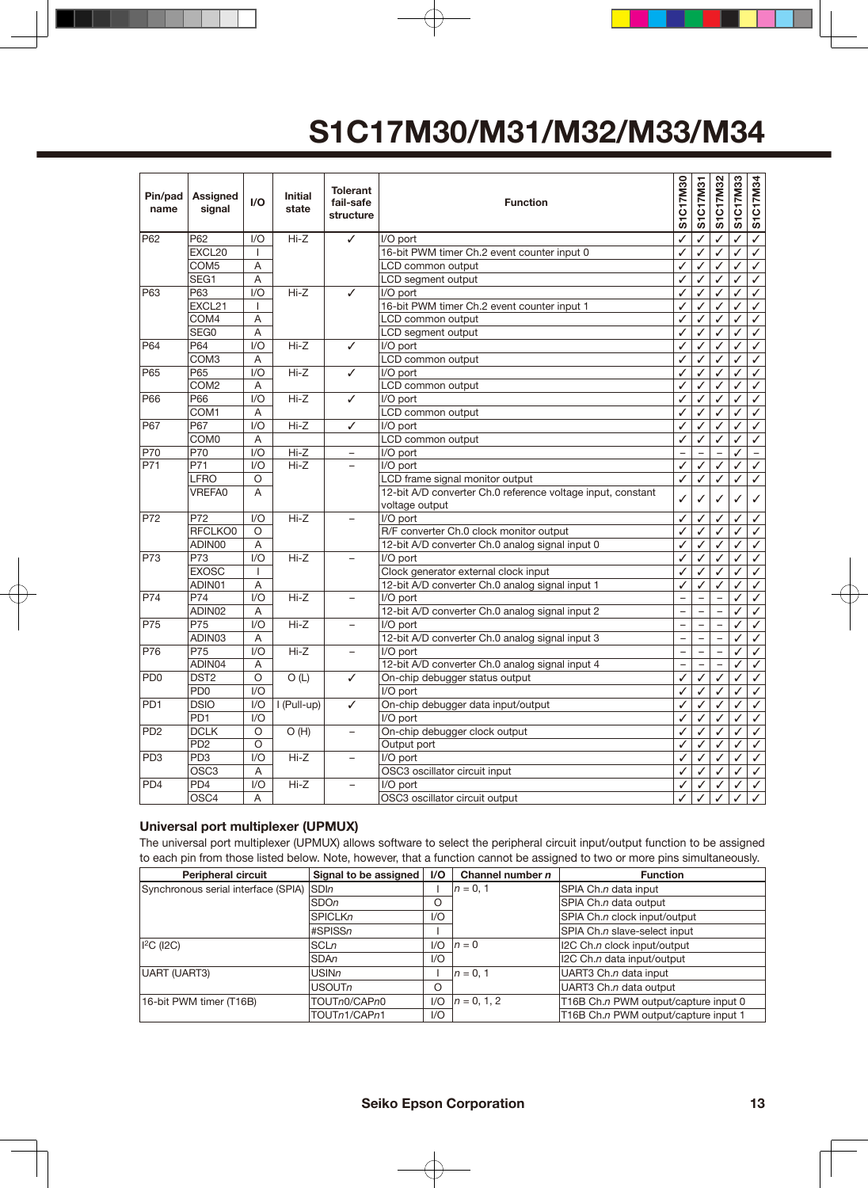| Pin/pad<br>name             | <b>Assigned</b><br>signal | I/O              | <b>Initial</b><br>state | <b>Tolerant</b><br>fail-safe<br>structure | <b>Function</b>                                                               | S1C17M30                 | S1C17M31                 | S1C17M32                 | S1C17M33 | S1C17M34                 |
|-----------------------------|---------------------------|------------------|-------------------------|-------------------------------------------|-------------------------------------------------------------------------------|--------------------------|--------------------------|--------------------------|----------|--------------------------|
| P62                         | P62                       | 1/O              | $Hi-Z$                  | ✓                                         | I/O port                                                                      | ✓                        | ✓                        | ✓                        | ✓        | $\overline{\checkmark}$  |
|                             | EXCL20                    | $\mathbf{I}$     |                         |                                           | 16-bit PWM timer Ch.2 event counter input 0                                   | ✓                        | ✓                        | ✓                        | ✓        | $\checkmark$             |
|                             | COM <sub>5</sub>          | A                |                         |                                           | LCD common output                                                             | ✓                        | ✓                        | ✓                        | ✓        | $\checkmark$             |
|                             | SEG1                      | $\overline{A}$   |                         |                                           | LCD segment output                                                            | ✓                        | $\checkmark$             | ✓                        | ✓        | ✓                        |
| P63                         | P63                       | 1/O              | $Hi-Z$                  | ✓                                         | I/O port                                                                      | ✓                        | ✓                        | ✓                        | ✓        | $\checkmark$             |
|                             | EXCL21                    | $\mathbf{I}$     |                         |                                           | 16-bit PWM timer Ch.2 event counter input 1                                   | ✓                        | ✓                        | ✓                        | ✓        | $\checkmark$             |
|                             | COM4                      | A                |                         |                                           | LCD common output                                                             | J                        | ✓                        | J                        |          | $\checkmark$             |
|                             | SEG0                      | Α                |                         |                                           | LCD segment output                                                            | ✓                        | ✓                        | ✓                        | ✓        | $\checkmark$             |
| P64                         | P64                       | 1/O              | $Hi-Z$                  | ✓                                         | I/O port                                                                      | ✓                        | ✓                        | ✓                        | ✓        | $\checkmark$             |
|                             | COM <sub>3</sub>          | A                |                         |                                           | LCD common output                                                             | ✓                        | ✓                        | ✓                        | ✓        | $\checkmark$             |
| P65                         | P65                       | 1/O              | $Hi-Z$                  | ✓                                         | I/O port                                                                      | ✓                        | ✓                        | ✓                        | ✓        | $\checkmark$             |
|                             | COM <sub>2</sub>          | Α                |                         |                                           | LCD common output                                                             | ✓                        | ✓                        | ✓                        | ✓        | ✓                        |
| P66                         | P66                       | 1/O              | $Hi-Z$                  | ✓                                         | I/O port                                                                      | ✓                        | ✓                        | ✓                        | ✓        | $\checkmark$             |
|                             | COM1                      | A                |                         |                                           | LCD common output                                                             | ✓                        | ✓                        | ✓                        | ✓        | $\checkmark$             |
| P67                         | P67                       | 1/O              | $Hi-Z$                  | ✓                                         | I/O port                                                                      | ✓                        | ✓                        | ✓                        | ✓        | $\checkmark$             |
|                             | COM <sub>0</sub>          | Α                |                         |                                           | LCD common output                                                             | ✓                        | ✓                        | ✓                        | ✓        | $\checkmark$             |
| P70                         | P70                       | 1/O              | $Hi-Z$                  | $\overline{\phantom{0}}$                  | I/O port                                                                      |                          | $\overline{\phantom{0}}$ | $\overline{\phantom{0}}$ | ✓        | $\overline{\phantom{0}}$ |
| P71                         | P71                       | I/O              | $Hi-Z$                  |                                           | I/O port                                                                      |                          | ✓                        | ✓                        | ✓        | $\checkmark$             |
|                             | <b>LFRO</b>               | O                |                         |                                           | LCD frame signal monitor output                                               | ✓                        | $\checkmark$             | ✓                        | ✓        | $\checkmark$             |
|                             | <b>VREFA0</b>             | A                |                         |                                           | 12-bit A/D converter Ch.0 reference voltage input, constant<br>voltage output | ✓                        | ✓                        | ✓                        |          | $\checkmark$             |
| P72                         | P72                       | 1/O              | $Hi-Z$                  | $\overline{a}$                            | I/O port                                                                      |                          | ✓                        | ✓                        | ✓        | $\checkmark$             |
|                             | RFCLKO0                   | $\circ$          |                         |                                           | R/F converter Ch.0 clock monitor output                                       | ✓                        | ✓                        | ✓                        | ✓        | $\checkmark$             |
|                             | ADIN00                    | Α                |                         |                                           | 12-bit A/D converter Ch.0 analog signal input 0                               | ✓                        | ✓                        | ✓                        | ✓        | $\checkmark$             |
| P73                         | P73                       | VQ               | $Hi-Z$                  | L.                                        | I/O port                                                                      | ✓                        | ✓                        | ✓                        | ✓        | ✓                        |
|                             | <b>EXOSC</b>              | $\mathbf{I}$     |                         |                                           | Clock generator external clock input                                          | ✓                        | ✓                        | ✓                        | ✓        | $\checkmark$             |
|                             | ADIN01                    | A                |                         |                                           | 12-bit A/D converter Ch.0 analog signal input 1                               | ✓                        | ✓                        | ✓                        | ✓        | $\checkmark$             |
| P74                         | P74                       | $\overline{1/O}$ | $Hi-Z$                  | $\overline{\phantom{0}}$                  | I/O port                                                                      | $\overline{\phantom{0}}$ | $\overline{\phantom{0}}$ | $\overline{\phantom{0}}$ | ✓        | ✓                        |
|                             | ADIN02                    | A                |                         |                                           | 12-bit A/D converter Ch.0 analog signal input 2                               | $\overline{a}$           | $\overline{\phantom{0}}$ | $\equiv$                 | ✓        | $\checkmark$             |
| P75                         | P75                       | 1/O              | $Hi-Z$                  | $\equiv$                                  | I/O port                                                                      | $\overline{\phantom{0}}$ | $\overline{a}$           | $\equiv$                 | ✓        | $\checkmark$             |
|                             | ADIN03                    | Α                |                         |                                           | 12-bit A/D converter Ch.0 analog signal input 3                               | $\overline{a}$           |                          | $\overline{a}$           | ✓        | $\checkmark$             |
| P76                         | P75                       | 1/O              | $Hi-Z$                  | ÷                                         | I/O port                                                                      | $\equiv$                 |                          | $\equiv$                 | ✓        | $\checkmark$             |
|                             | ADIN04                    | A                |                         |                                           | 12-bit A/D converter Ch.0 analog signal input 4                               | $\overline{a}$           | $\overline{\phantom{0}}$ | $\overline{\phantom{0}}$ | ✓        | $\checkmark$             |
| PD <sub>0</sub>             | DST <sub>2</sub>          | $\circ$          | O(L)                    | ✓                                         | On-chip debugger status output                                                | ✓                        | ✓                        | ✓                        | ✓        | ✓                        |
|                             | PD <sub>0</sub>           | VQ               |                         |                                           | I/O port                                                                      | ✓                        | ✓                        | ✓                        | ✓        | ✓                        |
| PD <sub>1</sub>             | <b>DSIO</b>               | 1/O              | I (Pull-up)             | ✓                                         | On-chip debugger data input/output                                            | ✓                        | ✓                        | ✓                        | ✓        | $\checkmark$             |
|                             | PD <sub>1</sub>           | 1/O              |                         |                                           | I/O port                                                                      | ✓                        | ✓                        | ✓                        | ✓        | $\checkmark$             |
| P <sub>D</sub> <sub>2</sub> | <b>DCLK</b>               | O                | O(H)                    | $\equiv$                                  | On-chip debugger clock output                                                 | ✓                        | ✓                        | ✓                        | ✓        | $\checkmark$             |
|                             | PD <sub>2</sub>           | $\circ$          |                         |                                           | Output port                                                                   | ✓                        | ✓                        | ✓                        | ✓        | ✓                        |
| PD <sub>3</sub>             | PD <sub>3</sub>           | 1/O              | $Hi-Z$                  | $\overline{\phantom{0}}$                  | I/O port                                                                      | ✓                        | ✓                        | ✓                        | ✓        | $\checkmark$             |
|                             | OSC <sub>3</sub>          | A                |                         |                                           | OSC3 oscillator circuit input                                                 | ✓                        | ✓                        | ✓                        | ✓        | $\checkmark$             |
| PD <sub>4</sub>             | PD <sub>4</sub>           | $\overline{1/O}$ | $Hi-Z$                  | $\overline{\phantom{0}}$                  | I/O port                                                                      | ✓                        | ✓                        | ✓                        | ✓        | $\overline{\checkmark}$  |
|                             | OSC4                      | A                |                         |                                           | OSC3 oscillator circuit output                                                | J                        | ✓                        | ✓                        | ✓        | $\checkmark$             |

#### **Universal port multiplexer (UPMUX)**

The universal port multiplexer (UPMUX) allows software to select the peripheral circuit input/output function to be assigned to each pin from those listed below. Note, however, that a function cannot be assigned to two or more pins simultaneously.

| <b>Peripheral circuit</b>           | Signal to be assigned | I/O   | Channel number $n$ | <b>Function</b>                      |
|-------------------------------------|-----------------------|-------|--------------------|--------------------------------------|
| Synchronous serial interface (SPIA) | <b>SDIn</b>           |       | $n = 0.1$          | SPIA Ch.n data input                 |
|                                     | <b>SDOn</b>           | O     |                    | SPIA Ch.n data output                |
|                                     | <b>SPICLKn</b>        | 1/O   |                    | SPIA Ch.n clock input/output         |
|                                     | #SPISSn               |       |                    | SPIA Ch.n slave-select input         |
| $I2C$ (I2C)                         | SCLn                  | 1/O   | $n=0$              | I2C Ch.n clock input/output          |
|                                     | <b>SDAn</b>           | 1/O   |                    | I2C Ch.n data input/output           |
| UART (UART3)                        | <b>USINn</b>          |       | $n = 0.1$          | UART3 Ch.n data input                |
|                                     | USOUTn                | O     |                    | UART3 Ch.n data output               |
| 16-bit PWM timer (T16B)             | TOUTn0/CAPn0          | 1/O   | $n = 0, 1, 2$      | T16B Ch.n PWM output/capture input 0 |
|                                     | TOUTn1/CAPn1          | $V$ O |                    | T16B Ch.n PWM output/capture input 1 |